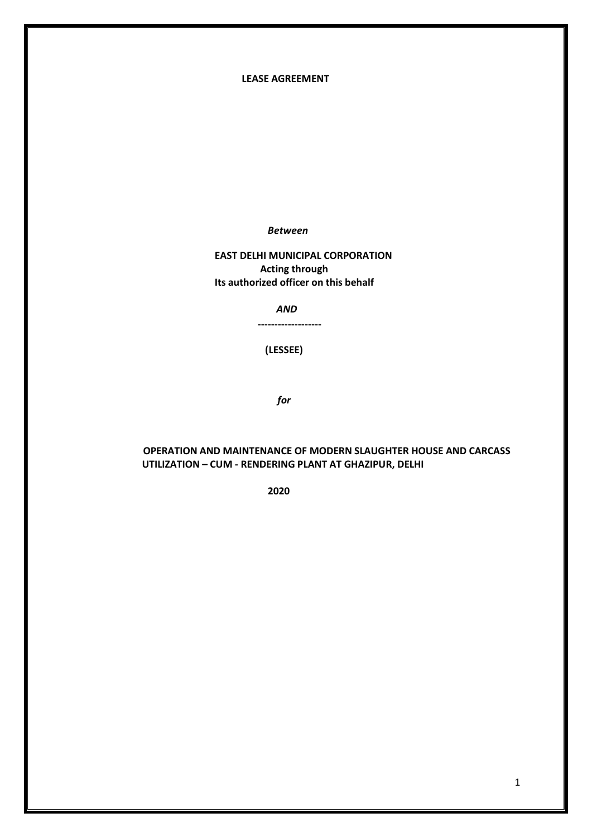#### **LEASE AGREEMENT**

 *Between*

 **EAST DELHI MUNICIPAL CORPORATION Acting through Its authorized officer on this behalf**

 **-------------------**

 *AND*

 **(LESSEE)**

 *for*

## **OPERATION AND MAINTENANCE OF MODERN SLAUGHTER HOUSE AND CARCASS UTILIZATION – CUM - RENDERING PLANT AT GHAZIPUR, DELHI**

 **2020**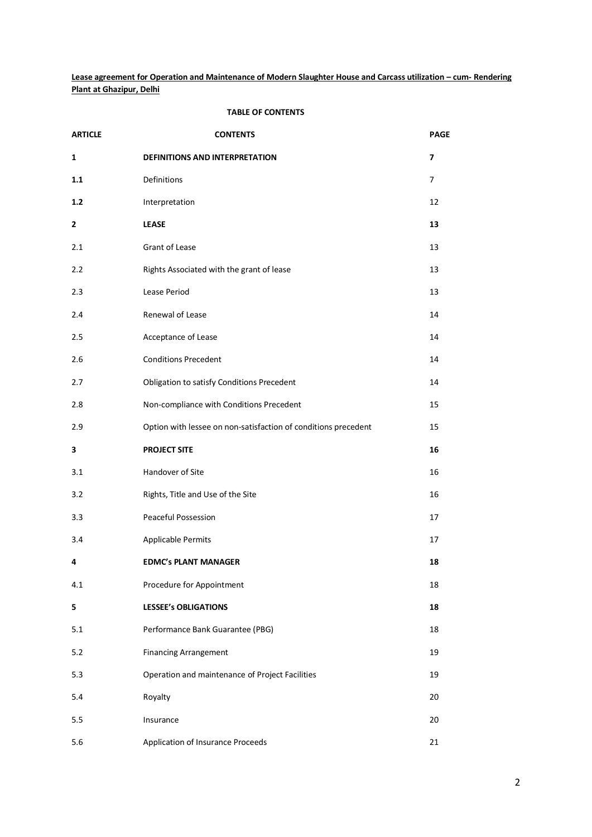**Lease agreement for Operation and Maintenance of Modern Slaughter House and Carcass utilization – cum- Rendering Plant at Ghazipur, Delhi**

#### **TABLE OF CONTENTS**

| <b>ARTICLE</b> | <b>CONTENTS</b>                                                | <b>PAGE</b>    |
|----------------|----------------------------------------------------------------|----------------|
| $\mathbf{1}$   | <b>DEFINITIONS AND INTERPRETATION</b>                          | $\overline{ }$ |
| 1.1            | Definitions                                                    | $\overline{7}$ |
| $1.2$          | Interpretation                                                 | 12             |
| 2              | <b>LEASE</b>                                                   | 13             |
| 2.1            | Grant of Lease                                                 | 13             |
| 2.2            | Rights Associated with the grant of lease                      | 13             |
| 2.3            | Lease Period                                                   | 13             |
| 2.4            | Renewal of Lease                                               | 14             |
| 2.5            | Acceptance of Lease                                            | 14             |
| 2.6            | <b>Conditions Precedent</b>                                    | 14             |
| 2.7            | Obligation to satisfy Conditions Precedent                     | 14             |
| 2.8            | Non-compliance with Conditions Precedent                       | 15             |
| 2.9            | Option with lessee on non-satisfaction of conditions precedent | 15             |
| 3              | <b>PROJECT SITE</b>                                            | 16             |
| 3.1            | Handover of Site                                               | 16             |
| 3.2            | Rights, Title and Use of the Site                              | 16             |
| 3.3            | <b>Peaceful Possession</b>                                     | 17             |
| 3.4            | <b>Applicable Permits</b>                                      | 17             |
| 4              | <b>EDMC's PLANT MANAGER</b>                                    | 18             |
| 4.1            | Procedure for Appointment                                      | 18             |
| 5              | <b>LESSEE's OBLIGATIONS</b>                                    | 18             |
| 5.1            | Performance Bank Guarantee (PBG)                               | 18             |
| $5.2$          | <b>Financing Arrangement</b>                                   | 19             |
| 5.3            | Operation and maintenance of Project Facilities                | 19             |
| 5.4            | Royalty                                                        | 20             |
| 5.5            | Insurance                                                      | 20             |
| 5.6            | Application of Insurance Proceeds                              | 21             |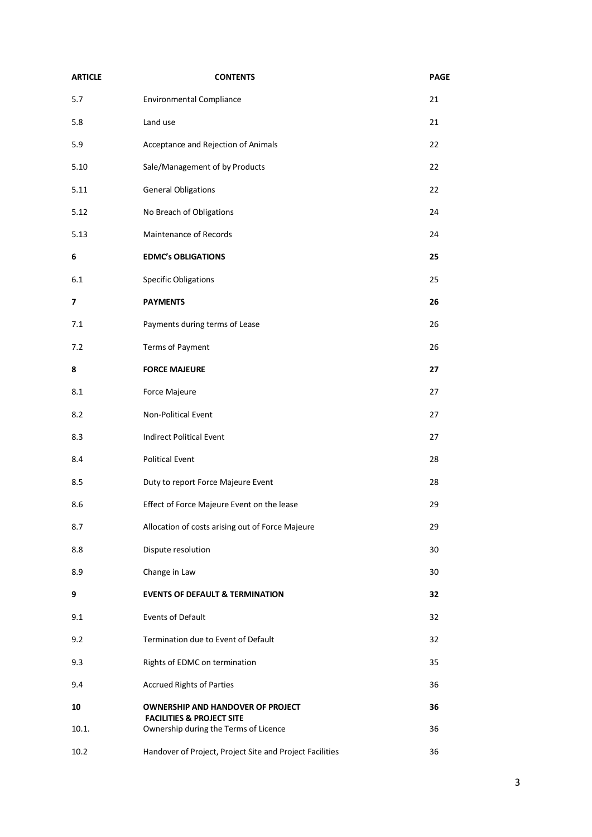| <b>ARTICLE</b> | <b>CONTENTS</b>                                                                  | <b>PAGE</b> |
|----------------|----------------------------------------------------------------------------------|-------------|
| 5.7            | <b>Environmental Compliance</b>                                                  | 21          |
| 5.8            | Land use                                                                         | 21          |
| 5.9            | Acceptance and Rejection of Animals                                              | 22          |
| 5.10           | Sale/Management of by Products                                                   | 22          |
| 5.11           | <b>General Obligations</b>                                                       | 22          |
| 5.12           | No Breach of Obligations                                                         | 24          |
| 5.13           | Maintenance of Records                                                           | 24          |
| 6              | <b>EDMC's OBLIGATIONS</b>                                                        | 25          |
| 6.1            | <b>Specific Obligations</b>                                                      | 25          |
| 7              | <b>PAYMENTS</b>                                                                  | 26          |
| 7.1            | Payments during terms of Lease                                                   | 26          |
| 7.2            | Terms of Payment                                                                 | 26          |
| 8              | <b>FORCE MAJEURE</b>                                                             | 27          |
| 8.1            | Force Majeure                                                                    | 27          |
| 8.2            | Non-Political Event                                                              | 27          |
| 8.3            | <b>Indirect Political Event</b>                                                  | 27          |
| 8.4            | <b>Political Event</b>                                                           | 28          |
| 8.5            | Duty to report Force Majeure Event                                               | 28          |
| 8.6            | Effect of Force Majeure Event on the lease                                       | 29          |
| 8.7            | Allocation of costs arising out of Force Majeure                                 | 29          |
| 8.8            | Dispute resolution                                                               | 30          |
| 8.9            | Change in Law                                                                    | 30          |
| 9              | <b>EVENTS OF DEFAULT &amp; TERMINATION</b>                                       | 32          |
| 9.1            | <b>Events of Default</b>                                                         | 32          |
| 9.2            | Termination due to Event of Default                                              | 32          |
| 9.3            | Rights of EDMC on termination                                                    | 35          |
| 9.4            | <b>Accrued Rights of Parties</b>                                                 | 36          |
| 10             | <b>OWNERSHIP AND HANDOVER OF PROJECT</b><br><b>FACILITIES &amp; PROJECT SITE</b> | 36          |
| 10.1.          | Ownership during the Terms of Licence                                            | 36          |
| 10.2           | Handover of Project, Project Site and Project Facilities                         | 36          |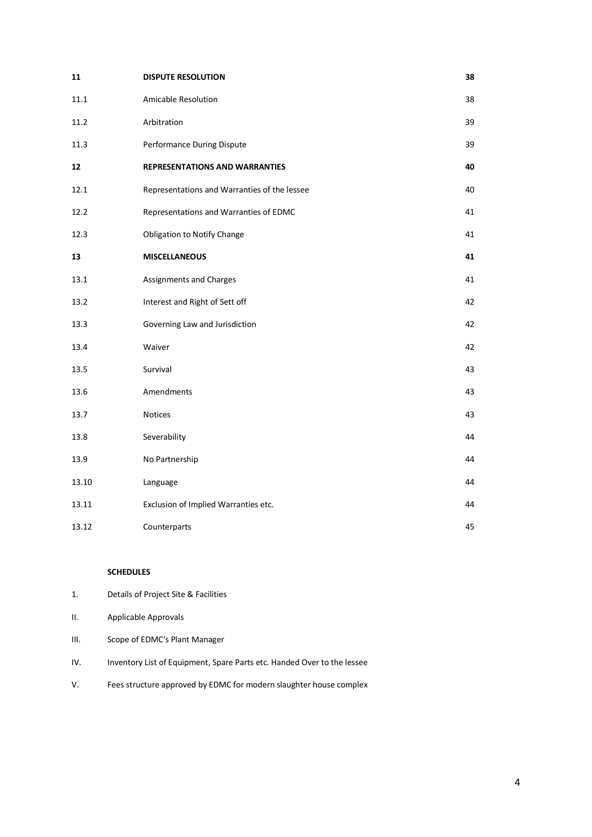| 11    | <b>DISPUTE RESOLUTION</b>                    | 38 |
|-------|----------------------------------------------|----|
| 11.1  | Amicable Resolution                          | 38 |
| 11.2  | Arbitration                                  | 39 |
| 11.3  | Performance During Dispute                   | 39 |
| 12    | <b>REPRESENTATIONS AND WARRANTIES</b>        | 40 |
| 12.1  | Representations and Warranties of the lessee | 40 |
| 12.2  | Representations and Warranties of EDMC       | 41 |
| 12.3  | Obligation to Notify Change                  | 41 |
| 13    | <b>MISCELLANEOUS</b>                         | 41 |
| 13.1  | Assignments and Charges                      | 41 |
| 13.2  | Interest and Right of Sett off               | 42 |
| 13.3  | Governing Law and Jurisdiction               | 42 |
| 13.4  | Waiver                                       | 42 |
| 13.5  | Survival                                     | 43 |
| 13.6  | Amendments                                   | 43 |
| 13.7  | Notices                                      | 43 |
| 13.8  | Severability                                 | 44 |
| 13.9  | No Partnership                               | 44 |
| 13.10 | Language                                     | 44 |
| 13.11 | Exclusion of Implied Warranties etc.         | 44 |
| 13.12 | Counterparts                                 | 45 |

### **SCHEDULES**

- 1. Details of Project Site & Facilities
- II. Applicable Approvals
- III. Scope of EDMC's Plant Manager
- IV. Inventory List of Equipment, Spare Parts etc. Handed Over to the lessee
- V. Fees structure approved by EDMC for modern slaughter house complex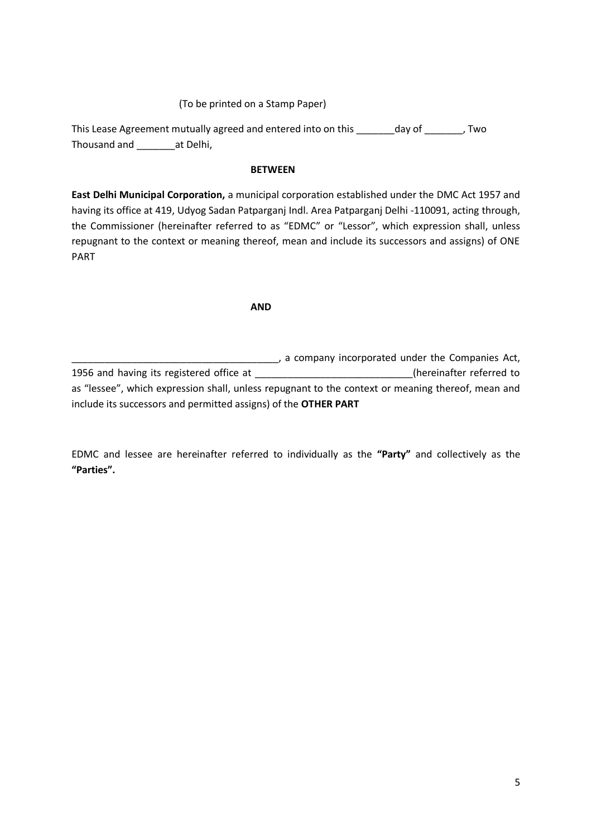## (To be printed on a Stamp Paper)

This Lease Agreement mutually agreed and entered into on this \_\_\_\_\_\_\_day of \_\_\_\_\_\_\_, Two Thousand and \_\_\_\_\_\_\_at Delhi,

#### **BETWEEN**

**East Delhi Municipal Corporation,** a municipal corporation established under the DMC Act 1957 and having its office at 419, Udyog Sadan Patparganj Indl. Area Patparganj Delhi -110091, acting through, the Commissioner (hereinafter referred to as "EDMC" or "Lessor", which expression shall, unless repugnant to the context or meaning thereof, mean and include its successors and assigns) of ONE PART

#### **AND**

\_\_\_\_\_\_\_, a company incorporated under the Companies Act, 1956 and having its registered office at \_\_\_\_\_\_\_\_\_\_\_\_\_\_\_\_\_\_\_\_\_\_\_\_\_\_\_\_(hereinafter referred to as "lessee", which expression shall, unless repugnant to the context or meaning thereof, mean and include its successors and permitted assigns) of the **OTHER PART**

EDMC and lessee are hereinafter referred to individually as the **"Party"** and collectively as the **"Parties".**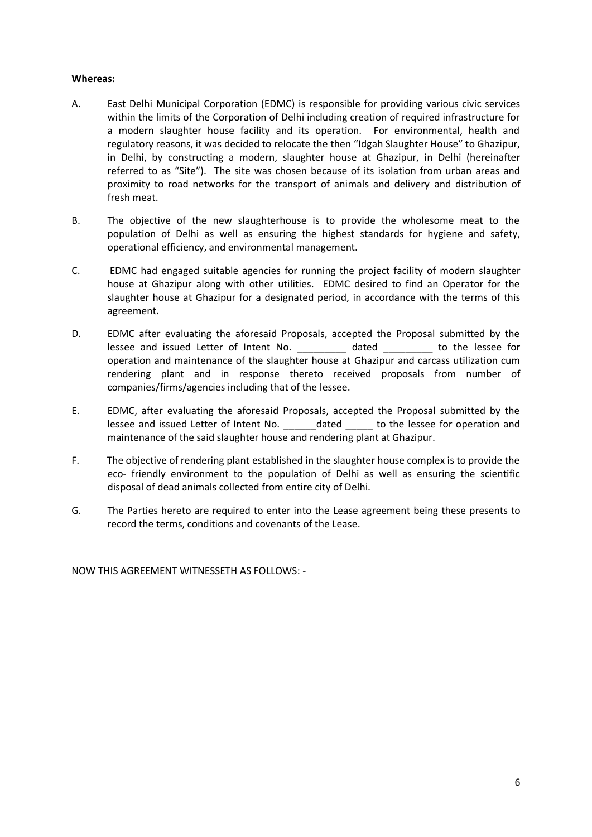## **Whereas:**

- A. East Delhi Municipal Corporation (EDMC) is responsible for providing various civic services within the limits of the Corporation of Delhi including creation of required infrastructure for a modern slaughter house facility and its operation. For environmental, health and regulatory reasons, it was decided to relocate the then "Idgah Slaughter House" to Ghazipur, in Delhi, by constructing a modern, slaughter house at Ghazipur, in Delhi (hereinafter referred to as "Site"). The site was chosen because of its isolation from urban areas and proximity to road networks for the transport of animals and delivery and distribution of fresh meat.
- B. The objective of the new slaughterhouse is to provide the wholesome meat to the population of Delhi as well as ensuring the highest standards for hygiene and safety, operational efficiency, and environmental management.
- C. EDMC had engaged suitable agencies for running the project facility of modern slaughter house at Ghazipur along with other utilities. EDMC desired to find an Operator for the slaughter house at Ghazipur for a designated period, in accordance with the terms of this agreement.
- D. EDMC after evaluating the aforesaid Proposals, accepted the Proposal submitted by the lessee and issued Letter of Intent No. \_\_\_\_\_\_\_\_\_ dated \_\_\_\_\_\_\_\_\_ to the lessee for operation and maintenance of the slaughter house at Ghazipur and carcass utilization cum rendering plant and in response thereto received proposals from number of companies/firms/agencies including that of the lessee.
- E. EDMC, after evaluating the aforesaid Proposals, accepted the Proposal submitted by the lessee and issued Letter of Intent No. \_\_\_\_\_\_dated \_\_\_\_\_ to the lessee for operation and maintenance of the said slaughter house and rendering plant at Ghazipur.
- F. The objective of rendering plant established in the slaughter house complex is to provide the eco- friendly environment to the population of Delhi as well as ensuring the scientific disposal of dead animals collected from entire city of Delhi.
- G. The Parties hereto are required to enter into the Lease agreement being these presents to record the terms, conditions and covenants of the Lease.

NOW THIS AGREEMENT WITNESSETH AS FOLLOWS: -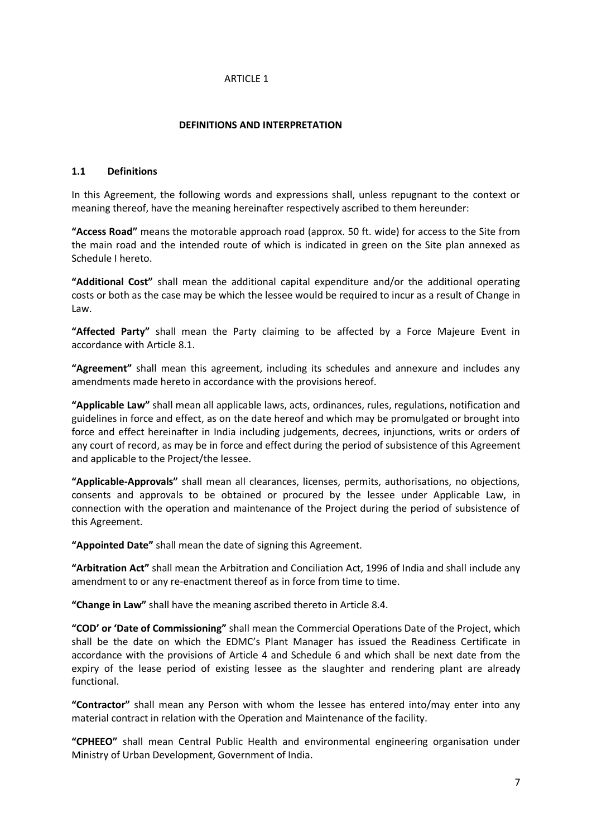## **DEFINITIONS AND INTERPRETATION**

#### **1.1 Definitions**

In this Agreement, the following words and expressions shall, unless repugnant to the context or meaning thereof, have the meaning hereinafter respectively ascribed to them hereunder:

**"Access Road"** means the motorable approach road (approx. 50 ft. wide) for access to the Site from the main road and the intended route of which is indicated in green on the Site plan annexed as Schedule I hereto.

**"Additional Cost"** shall mean the additional capital expenditure and/or the additional operating costs or both as the case may be which the lessee would be required to incur as a result of Change in Law.

**"Affected Party"** shall mean the Party claiming to be affected by a Force Majeure Event in accordance with Article 8.1.

**"Agreement"** shall mean this agreement, including its schedules and annexure and includes any amendments made hereto in accordance with the provisions hereof.

**"Applicable Law"** shall mean all applicable laws, acts, ordinances, rules, regulations, notification and guidelines in force and effect, as on the date hereof and which may be promulgated or brought into force and effect hereinafter in India including judgements, decrees, injunctions, writs or orders of any court of record, as may be in force and effect during the period of subsistence of this Agreement and applicable to the Project/the lessee.

**"Applicable-Approvals"** shall mean all clearances, licenses, permits, authorisations, no objections, consents and approvals to be obtained or procured by the lessee under Applicable Law, in connection with the operation and maintenance of the Project during the period of subsistence of this Agreement.

**"Appointed Date"** shall mean the date of signing this Agreement.

**"Arbitration Act"** shall mean the Arbitration and Conciliation Act, 1996 of India and shall include any amendment to or any re-enactment thereof as in force from time to time.

**"Change in Law"** shall have the meaning ascribed thereto in Article 8.4.

**"COD' or 'Date of Commissioning"** shall mean the Commercial Operations Date of the Project, which shall be the date on which the EDMC's Plant Manager has issued the Readiness Certificate in accordance with the provisions of Article 4 and Schedule 6 and which shall be next date from the expiry of the lease period of existing lessee as the slaughter and rendering plant are already functional.

**"Contractor"** shall mean any Person with whom the lessee has entered into/may enter into any material contract in relation with the Operation and Maintenance of the facility.

**"CPHEEO"** shall mean Central Public Health and environmental engineering organisation under Ministry of Urban Development, Government of India.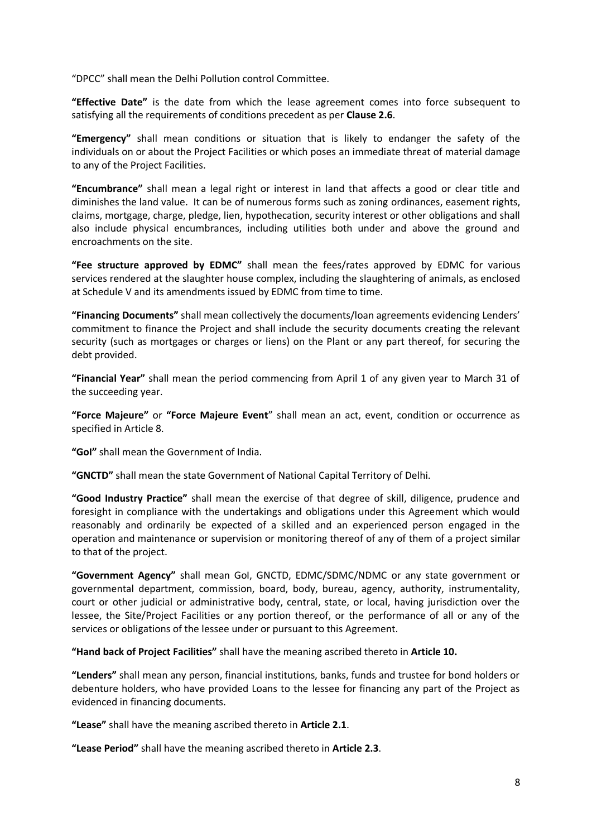"DPCC" shall mean the Delhi Pollution control Committee.

**"Effective Date"** is the date from which the lease agreement comes into force subsequent to satisfying all the requirements of conditions precedent as per **Clause 2.6**.

**"Emergency"** shall mean conditions or situation that is likely to endanger the safety of the individuals on or about the Project Facilities or which poses an immediate threat of material damage to any of the Project Facilities.

**"Encumbrance"** shall mean a legal right or interest in land that affects a good or clear title and diminishes the land value. It can be of numerous forms such as zoning ordinances, easement rights, claims, mortgage, charge, pledge, lien, hypothecation, security interest or other obligations and shall also include physical encumbrances, including utilities both under and above the ground and encroachments on the site.

**"Fee structure approved by EDMC"** shall mean the fees/rates approved by EDMC for various services rendered at the slaughter house complex, including the slaughtering of animals, as enclosed at Schedule V and its amendments issued by EDMC from time to time.

**"Financing Documents"** shall mean collectively the documents/loan agreements evidencing Lenders' commitment to finance the Project and shall include the security documents creating the relevant security (such as mortgages or charges or liens) on the Plant or any part thereof, for securing the debt provided.

**"Financial Year"** shall mean the period commencing from April 1 of any given year to March 31 of the succeeding year.

**"Force Majeure"** or **"Force Majeure Event**" shall mean an act, event, condition or occurrence as specified in Article 8.

**"GoI"** shall mean the Government of India.

**"GNCTD"** shall mean the state Government of National Capital Territory of Delhi.

**"Good Industry Practice"** shall mean the exercise of that degree of skill, diligence, prudence and foresight in compliance with the undertakings and obligations under this Agreement which would reasonably and ordinarily be expected of a skilled and an experienced person engaged in the operation and maintenance or supervision or monitoring thereof of any of them of a project similar to that of the project.

**"Government Agency"** shall mean GoI, GNCTD, EDMC/SDMC/NDMC or any state government or governmental department, commission, board, body, bureau, agency, authority, instrumentality, court or other judicial or administrative body, central, state, or local, having jurisdiction over the lessee, the Site/Project Facilities or any portion thereof, or the performance of all or any of the services or obligations of the lessee under or pursuant to this Agreement.

**"Hand back of Project Facilities"** shall have the meaning ascribed thereto in **Article 10.**

**"Lenders"** shall mean any person, financial institutions, banks, funds and trustee for bond holders or debenture holders, who have provided Loans to the lessee for financing any part of the Project as evidenced in financing documents.

**"Lease"** shall have the meaning ascribed thereto in **Article 2.1**.

**"Lease Period"** shall have the meaning ascribed thereto in **Article 2.3**.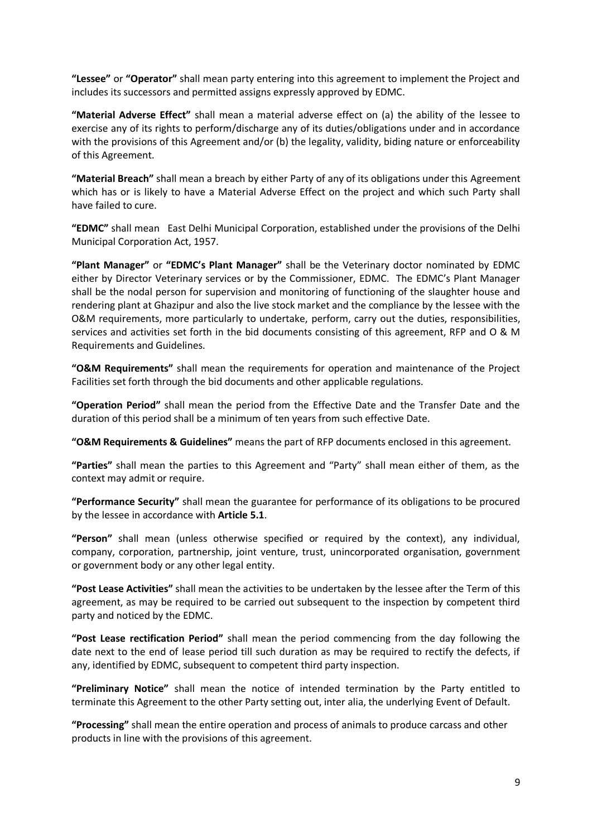**"Lessee"** or **"Operator"** shall mean party entering into this agreement to implement the Project and includes its successors and permitted assigns expressly approved by EDMC.

**"Material Adverse Effect"** shall mean a material adverse effect on (a) the ability of the lessee to exercise any of its rights to perform/discharge any of its duties/obligations under and in accordance with the provisions of this Agreement and/or (b) the legality, validity, biding nature or enforceability of this Agreement.

**"Material Breach"** shall mean a breach by either Party of any of its obligations under this Agreement which has or is likely to have a Material Adverse Effect on the project and which such Party shall have failed to cure.

**"EDMC"** shall mean East Delhi Municipal Corporation, established under the provisions of the Delhi Municipal Corporation Act, 1957.

**"Plant Manager"** or **"EDMC's Plant Manager"** shall be the Veterinary doctor nominated by EDMC either by Director Veterinary services or by the Commissioner, EDMC. The EDMC's Plant Manager shall be the nodal person for supervision and monitoring of functioning of the slaughter house and rendering plant at Ghazipur and also the live stock market and the compliance by the lessee with the O&M requirements, more particularly to undertake, perform, carry out the duties, responsibilities, services and activities set forth in the bid documents consisting of this agreement, RFP and O & M Requirements and Guidelines.

**"O&M Requirements"** shall mean the requirements for operation and maintenance of the Project Facilities set forth through the bid documents and other applicable regulations.

**"Operation Period"** shall mean the period from the Effective Date and the Transfer Date and the duration of this period shall be a minimum of ten years from such effective Date.

**"O&M Requirements & Guidelines"** means the part of RFP documents enclosed in this agreement.

**"Parties"** shall mean the parties to this Agreement and "Party" shall mean either of them, as the context may admit or require.

**"Performance Security"** shall mean the guarantee for performance of its obligations to be procured by the lessee in accordance with **Article 5.1**.

**"Person"** shall mean (unless otherwise specified or required by the context), any individual, company, corporation, partnership, joint venture, trust, unincorporated organisation, government or government body or any other legal entity.

**"Post Lease Activities"** shall mean the activities to be undertaken by the lessee after the Term of this agreement, as may be required to be carried out subsequent to the inspection by competent third party and noticed by the EDMC.

**"Post Lease rectification Period"** shall mean the period commencing from the day following the date next to the end of lease period till such duration as may be required to rectify the defects, if any, identified by EDMC, subsequent to competent third party inspection.

**"Preliminary Notice"** shall mean the notice of intended termination by the Party entitled to terminate this Agreement to the other Party setting out, inter alia, the underlying Event of Default.

**"Processing"** shall mean the entire operation and process of animals to produce carcass and other products in line with the provisions of this agreement.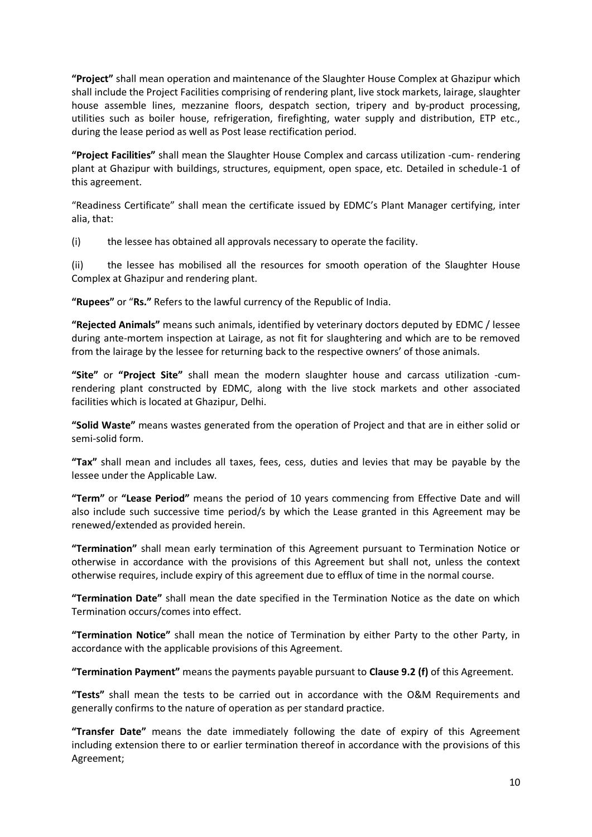**"Project"** shall mean operation and maintenance of the Slaughter House Complex at Ghazipur which shall include the Project Facilities comprising of rendering plant, live stock markets, lairage, slaughter house assemble lines, mezzanine floors, despatch section, tripery and by-product processing, utilities such as boiler house, refrigeration, firefighting, water supply and distribution, ETP etc., during the lease period as well as Post lease rectification period.

**"Project Facilities"** shall mean the Slaughter House Complex and carcass utilization -cum- rendering plant at Ghazipur with buildings, structures, equipment, open space, etc. Detailed in schedule-1 of this agreement.

"Readiness Certificate" shall mean the certificate issued by EDMC's Plant Manager certifying, inter alia, that:

(i) the lessee has obtained all approvals necessary to operate the facility.

(ii) the lessee has mobilised all the resources for smooth operation of the Slaughter House Complex at Ghazipur and rendering plant.

**"Rupees"** or "**Rs."** Refers to the lawful currency of the Republic of India.

**"Rejected Animals"** means such animals, identified by veterinary doctors deputed by EDMC / lessee during ante-mortem inspection at Lairage, as not fit for slaughtering and which are to be removed from the lairage by the lessee for returning back to the respective owners' of those animals.

**"Site"** or **"Project Site"** shall mean the modern slaughter house and carcass utilization -cumrendering plant constructed by EDMC, along with the live stock markets and other associated facilities which is located at Ghazipur, Delhi.

**"Solid Waste"** means wastes generated from the operation of Project and that are in either solid or semi-solid form.

**"Tax"** shall mean and includes all taxes, fees, cess, duties and levies that may be payable by the lessee under the Applicable Law.

**"Term"** or **"Lease Period"** means the period of 10 years commencing from Effective Date and will also include such successive time period/s by which the Lease granted in this Agreement may be renewed/extended as provided herein.

**"Termination"** shall mean early termination of this Agreement pursuant to Termination Notice or otherwise in accordance with the provisions of this Agreement but shall not, unless the context otherwise requires, include expiry of this agreement due to efflux of time in the normal course.

**"Termination Date"** shall mean the date specified in the Termination Notice as the date on which Termination occurs/comes into effect.

**"Termination Notice"** shall mean the notice of Termination by either Party to the other Party, in accordance with the applicable provisions of this Agreement.

**"Termination Payment"** means the payments payable pursuant to **Clause 9.2 (f)** of this Agreement.

**"Tests"** shall mean the tests to be carried out in accordance with the O&M Requirements and generally confirms to the nature of operation as per standard practice.

**"Transfer Date"** means the date immediately following the date of expiry of this Agreement including extension there to or earlier termination thereof in accordance with the provisions of this Agreement;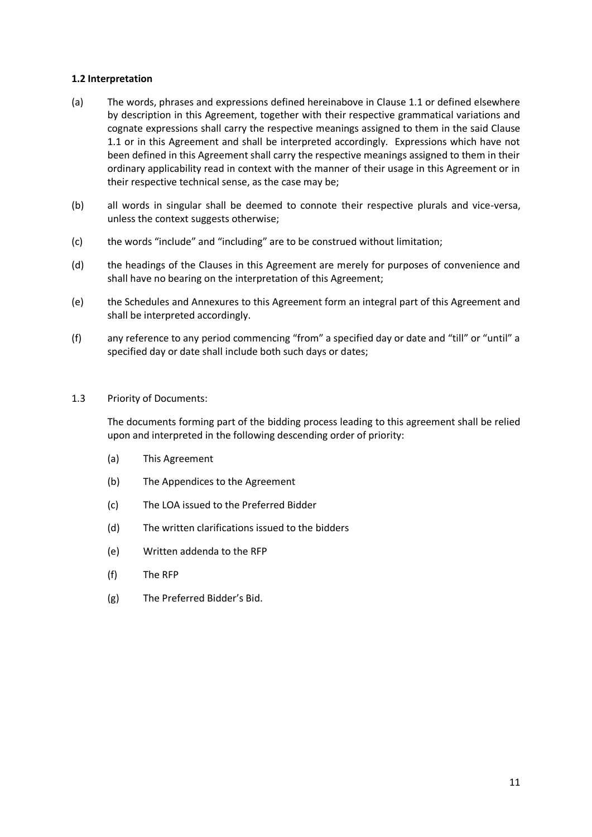## **1.2 Interpretation**

- (a) The words, phrases and expressions defined hereinabove in Clause 1.1 or defined elsewhere by description in this Agreement, together with their respective grammatical variations and cognate expressions shall carry the respective meanings assigned to them in the said Clause 1.1 or in this Agreement and shall be interpreted accordingly. Expressions which have not been defined in this Agreement shall carry the respective meanings assigned to them in their ordinary applicability read in context with the manner of their usage in this Agreement or in their respective technical sense, as the case may be;
- (b) all words in singular shall be deemed to connote their respective plurals and vice-versa, unless the context suggests otherwise;
- (c) the words "include" and "including" are to be construed without limitation;
- (d) the headings of the Clauses in this Agreement are merely for purposes of convenience and shall have no bearing on the interpretation of this Agreement;
- (e) the Schedules and Annexures to this Agreement form an integral part of this Agreement and shall be interpreted accordingly.
- (f) any reference to any period commencing "from" a specified day or date and "till" or "until" a specified day or date shall include both such days or dates;
- 1.3 Priority of Documents:

The documents forming part of the bidding process leading to this agreement shall be relied upon and interpreted in the following descending order of priority:

- (a) This Agreement
- (b) The Appendices to the Agreement
- (c) The LOA issued to the Preferred Bidder
- (d) The written clarifications issued to the bidders
- (e) Written addenda to the RFP
- (f) The RFP
- (g) The Preferred Bidder's Bid.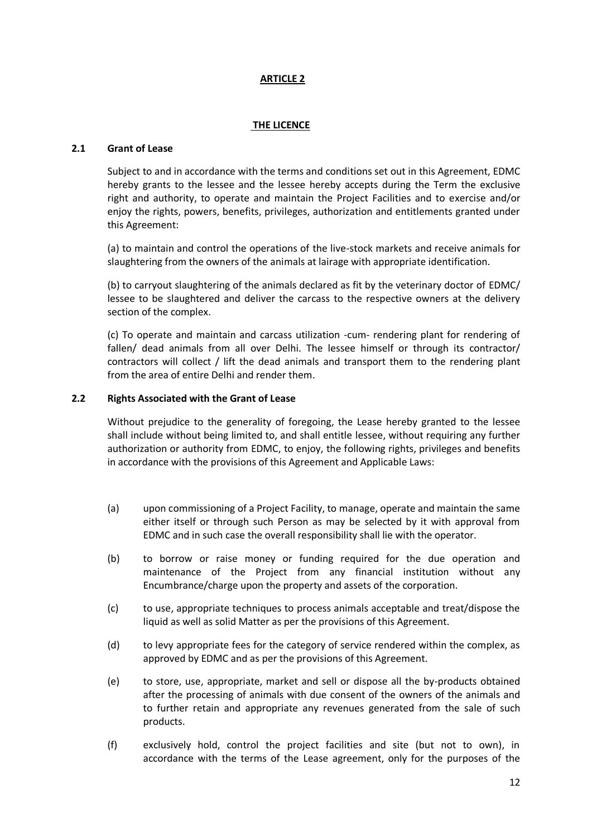## **THE LICENCE**

### **2.1 Grant of Lease**

Subject to and in accordance with the terms and conditions set out in this Agreement, EDMC hereby grants to the lessee and the lessee hereby accepts during the Term the exclusive right and authority, to operate and maintain the Project Facilities and to exercise and/or enjoy the rights, powers, benefits, privileges, authorization and entitlements granted under this Agreement:

(a) to maintain and control the operations of the live-stock markets and receive animals for slaughtering from the owners of the animals at lairage with appropriate identification.

(b) to carryout slaughtering of the animals declared as fit by the veterinary doctor of EDMC/ lessee to be slaughtered and deliver the carcass to the respective owners at the delivery section of the complex.

(c) To operate and maintain and carcass utilization -cum- rendering plant for rendering of fallen/ dead animals from all over Delhi. The lessee himself or through its contractor/ contractors will collect / lift the dead animals and transport them to the rendering plant from the area of entire Delhi and render them.

## **2.2 Rights Associated with the Grant of Lease**

Without prejudice to the generality of foregoing, the Lease hereby granted to the lessee shall include without being limited to, and shall entitle lessee, without requiring any further authorization or authority from EDMC, to enjoy, the following rights, privileges and benefits in accordance with the provisions of this Agreement and Applicable Laws:

- (a) upon commissioning of a Project Facility, to manage, operate and maintain the same either itself or through such Person as may be selected by it with approval from EDMC and in such case the overall responsibility shall lie with the operator.
- (b) to borrow or raise money or funding required for the due operation and maintenance of the Project from any financial institution without any Encumbrance/charge upon the property and assets of the corporation.
- (c) to use, appropriate techniques to process animals acceptable and treat/dispose the liquid as well as solid Matter as per the provisions of this Agreement.
- (d) to levy appropriate fees for the category of service rendered within the complex, as approved by EDMC and as per the provisions of this Agreement.
- (e) to store, use, appropriate, market and sell or dispose all the by-products obtained after the processing of animals with due consent of the owners of the animals and to further retain and appropriate any revenues generated from the sale of such products.
- (f) exclusively hold, control the project facilities and site (but not to own), in accordance with the terms of the Lease agreement, only for the purposes of the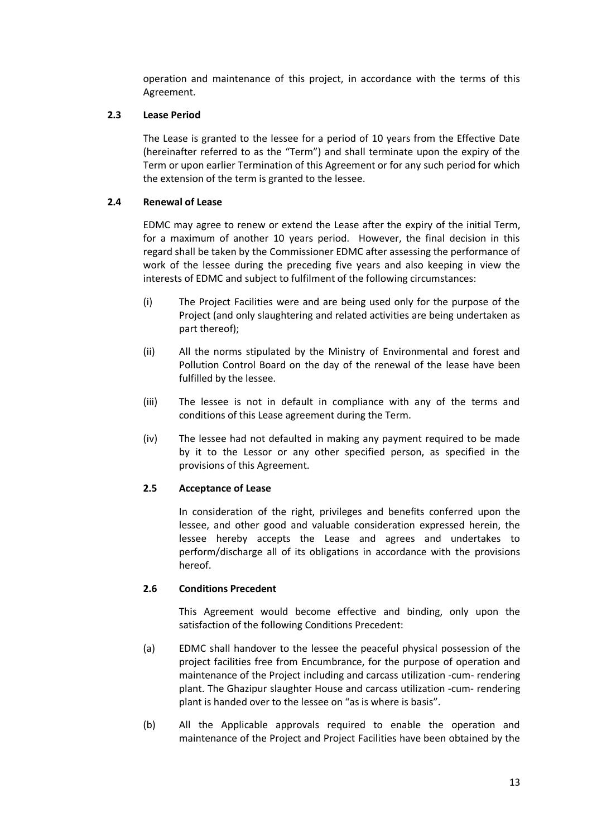operation and maintenance of this project, in accordance with the terms of this Agreement.

## **2.3 Lease Period**

The Lease is granted to the lessee for a period of 10 years from the Effective Date (hereinafter referred to as the "Term") and shall terminate upon the expiry of the Term or upon earlier Termination of this Agreement or for any such period for which the extension of the term is granted to the lessee.

## **2.4 Renewal of Lease**

EDMC may agree to renew or extend the Lease after the expiry of the initial Term, for a maximum of another 10 years period. However, the final decision in this regard shall be taken by the Commissioner EDMC after assessing the performance of work of the lessee during the preceding five years and also keeping in view the interests of EDMC and subject to fulfilment of the following circumstances:

- (i) The Project Facilities were and are being used only for the purpose of the Project (and only slaughtering and related activities are being undertaken as part thereof);
- (ii) All the norms stipulated by the Ministry of Environmental and forest and Pollution Control Board on the day of the renewal of the lease have been fulfilled by the lessee.
- (iii) The lessee is not in default in compliance with any of the terms and conditions of this Lease agreement during the Term.
- (iv) The lessee had not defaulted in making any payment required to be made by it to the Lessor or any other specified person, as specified in the provisions of this Agreement.

# **2.5 Acceptance of Lease**

In consideration of the right, privileges and benefits conferred upon the lessee, and other good and valuable consideration expressed herein, the lessee hereby accepts the Lease and agrees and undertakes to perform/discharge all of its obligations in accordance with the provisions hereof.

# **2.6 Conditions Precedent**

This Agreement would become effective and binding, only upon the satisfaction of the following Conditions Precedent:

- (a) EDMC shall handover to the lessee the peaceful physical possession of the project facilities free from Encumbrance, for the purpose of operation and maintenance of the Project including and carcass utilization -cum- rendering plant. The Ghazipur slaughter House and carcass utilization -cum- rendering plant is handed over to the lessee on "as is where is basis".
- (b) All the Applicable approvals required to enable the operation and maintenance of the Project and Project Facilities have been obtained by the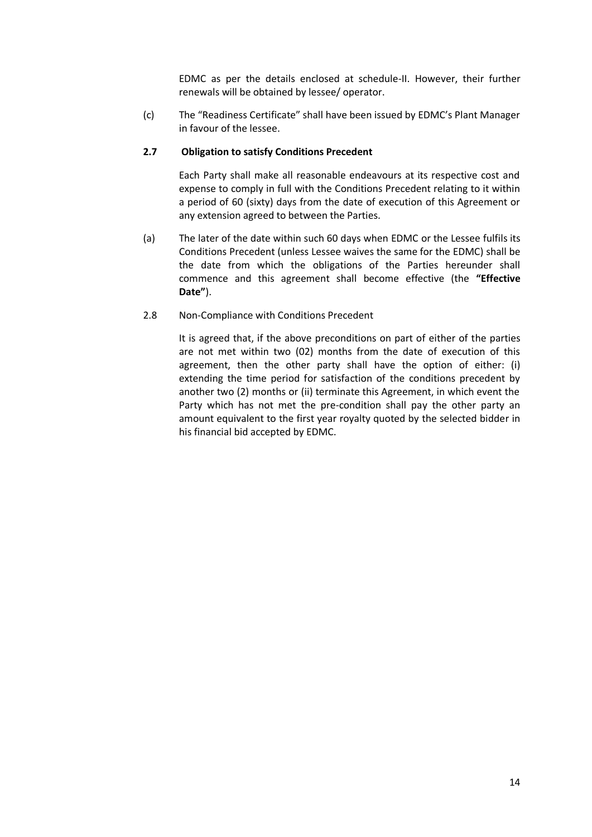EDMC as per the details enclosed at schedule-II. However, their further renewals will be obtained by lessee/ operator.

(c) The "Readiness Certificate" shall have been issued by EDMC's Plant Manager in favour of the lessee.

## **2.7 Obligation to satisfy Conditions Precedent**

Each Party shall make all reasonable endeavours at its respective cost and expense to comply in full with the Conditions Precedent relating to it within a period of 60 (sixty) days from the date of execution of this Agreement or any extension agreed to between the Parties.

- (a) The later of the date within such 60 days when EDMC or the Lessee fulfils its Conditions Precedent (unless Lessee waives the same for the EDMC) shall be the date from which the obligations of the Parties hereunder shall commence and this agreement shall become effective (the **"Effective Date"**).
- 2.8 Non-Compliance with Conditions Precedent

It is agreed that, if the above preconditions on part of either of the parties are not met within two (02) months from the date of execution of this agreement, then the other party shall have the option of either: (i) extending the time period for satisfaction of the conditions precedent by another two (2) months or (ii) terminate this Agreement, in which event the Party which has not met the pre-condition shall pay the other party an amount equivalent to the first year royalty quoted by the selected bidder in his financial bid accepted by EDMC.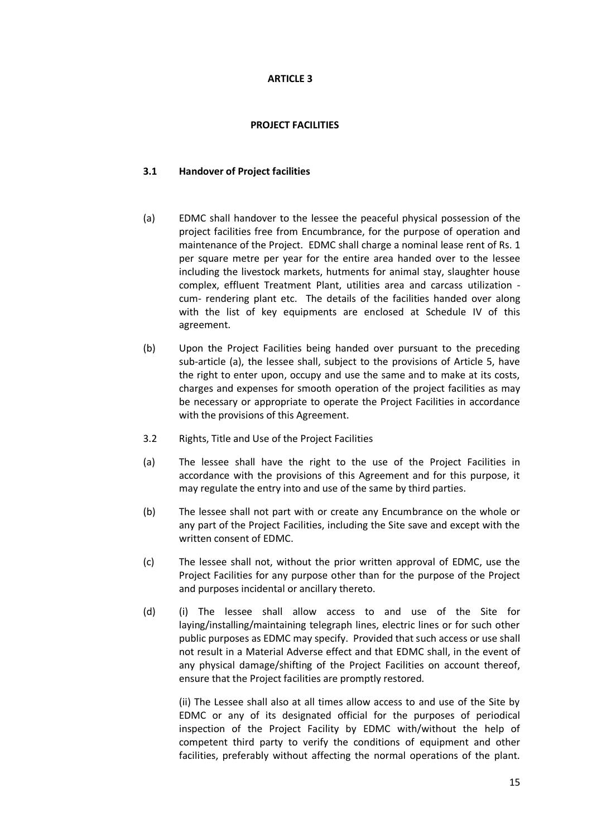## **PROJECT FACILITIES**

## **3.1 Handover of Project facilities**

- (a) EDMC shall handover to the lessee the peaceful physical possession of the project facilities free from Encumbrance, for the purpose of operation and maintenance of the Project. EDMC shall charge a nominal lease rent of Rs. 1 per square metre per year for the entire area handed over to the lessee including the livestock markets, hutments for animal stay, slaughter house complex, effluent Treatment Plant, utilities area and carcass utilization cum- rendering plant etc. The details of the facilities handed over along with the list of key equipments are enclosed at Schedule IV of this agreement.
- (b) Upon the Project Facilities being handed over pursuant to the preceding sub-article (a), the lessee shall, subject to the provisions of Article 5, have the right to enter upon, occupy and use the same and to make at its costs, charges and expenses for smooth operation of the project facilities as may be necessary or appropriate to operate the Project Facilities in accordance with the provisions of this Agreement.
- 3.2 Rights, Title and Use of the Project Facilities
- (a) The lessee shall have the right to the use of the Project Facilities in accordance with the provisions of this Agreement and for this purpose, it may regulate the entry into and use of the same by third parties.
- (b) The lessee shall not part with or create any Encumbrance on the whole or any part of the Project Facilities, including the Site save and except with the written consent of EDMC.
- (c) The lessee shall not, without the prior written approval of EDMC, use the Project Facilities for any purpose other than for the purpose of the Project and purposes incidental or ancillary thereto.
- (d) (i) The lessee shall allow access to and use of the Site for laying/installing/maintaining telegraph lines, electric lines or for such other public purposes as EDMC may specify. Provided that such access or use shall not result in a Material Adverse effect and that EDMC shall, in the event of any physical damage/shifting of the Project Facilities on account thereof, ensure that the Project facilities are promptly restored.

(ii) The Lessee shall also at all times allow access to and use of the Site by EDMC or any of its designated official for the purposes of periodical inspection of the Project Facility by EDMC with/without the help of competent third party to verify the conditions of equipment and other facilities, preferably without affecting the normal operations of the plant.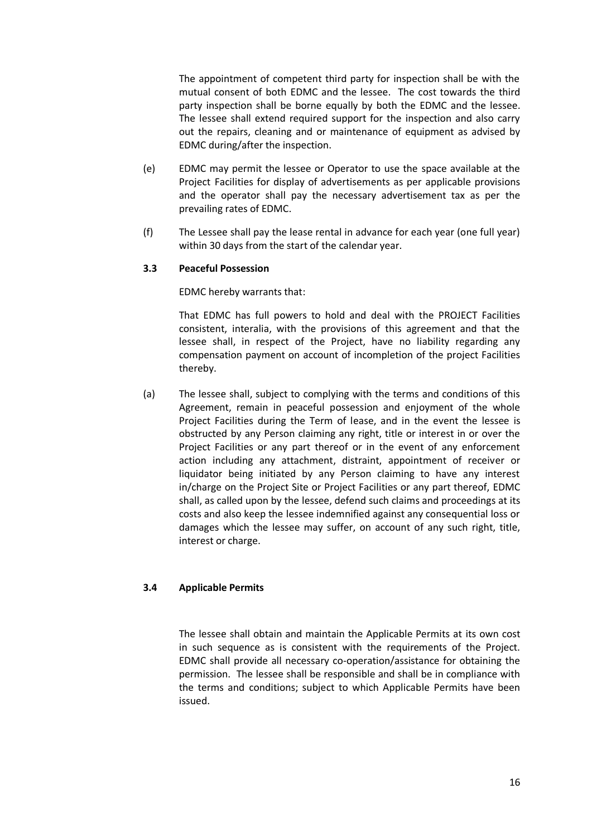The appointment of competent third party for inspection shall be with the mutual consent of both EDMC and the lessee. The cost towards the third party inspection shall be borne equally by both the EDMC and the lessee. The lessee shall extend required support for the inspection and also carry out the repairs, cleaning and or maintenance of equipment as advised by EDMC during/after the inspection.

- (e) EDMC may permit the lessee or Operator to use the space available at the Project Facilities for display of advertisements as per applicable provisions and the operator shall pay the necessary advertisement tax as per the prevailing rates of EDMC.
- (f) The Lessee shall pay the lease rental in advance for each year (one full year) within 30 days from the start of the calendar year.

## **3.3 Peaceful Possession**

EDMC hereby warrants that:

That EDMC has full powers to hold and deal with the PROJECT Facilities consistent, interalia, with the provisions of this agreement and that the lessee shall, in respect of the Project, have no liability regarding any compensation payment on account of incompletion of the project Facilities thereby.

(a) The lessee shall, subject to complying with the terms and conditions of this Agreement, remain in peaceful possession and enjoyment of the whole Project Facilities during the Term of lease, and in the event the lessee is obstructed by any Person claiming any right, title or interest in or over the Project Facilities or any part thereof or in the event of any enforcement action including any attachment, distraint, appointment of receiver or liquidator being initiated by any Person claiming to have any interest in/charge on the Project Site or Project Facilities or any part thereof, EDMC shall, as called upon by the lessee, defend such claims and proceedings at its costs and also keep the lessee indemnified against any consequential loss or damages which the lessee may suffer, on account of any such right, title, interest or charge.

# **3.4 Applicable Permits**

The lessee shall obtain and maintain the Applicable Permits at its own cost in such sequence as is consistent with the requirements of the Project. EDMC shall provide all necessary co-operation/assistance for obtaining the permission. The lessee shall be responsible and shall be in compliance with the terms and conditions; subject to which Applicable Permits have been issued.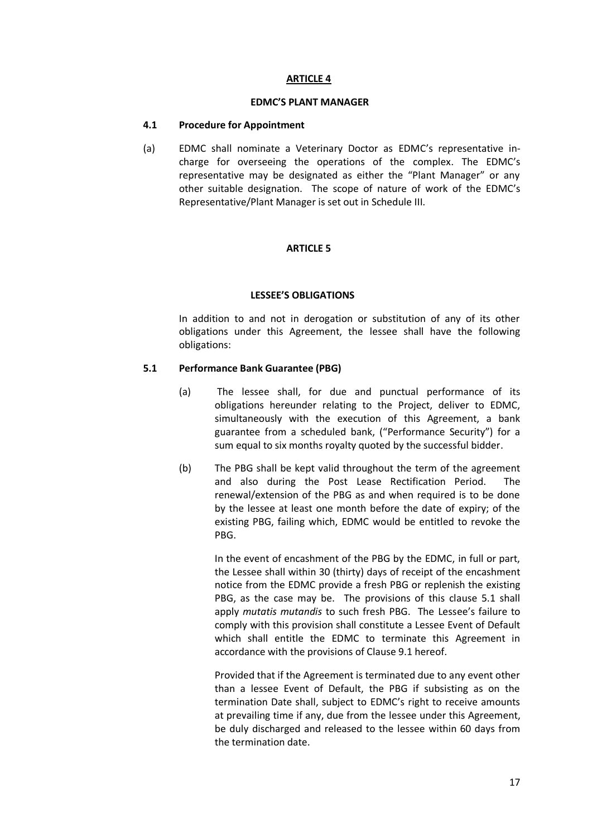#### **EDMC'S PLANT MANAGER**

## **4.1 Procedure for Appointment**

(a) EDMC shall nominate a Veterinary Doctor as EDMC's representative incharge for overseeing the operations of the complex. The EDMC's representative may be designated as either the "Plant Manager" or any other suitable designation. The scope of nature of work of the EDMC's Representative/Plant Manager is set out in Schedule III.

## **ARTICLE 5**

## **LESSEE'S OBLIGATIONS**

In addition to and not in derogation or substitution of any of its other obligations under this Agreement, the lessee shall have the following obligations:

## **5.1 Performance Bank Guarantee (PBG)**

- (a) The lessee shall, for due and punctual performance of its obligations hereunder relating to the Project, deliver to EDMC, simultaneously with the execution of this Agreement, a bank guarantee from a scheduled bank, ("Performance Security") for a sum equal to six months royalty quoted by the successful bidder.
- (b) The PBG shall be kept valid throughout the term of the agreement and also during the Post Lease Rectification Period. The renewal/extension of the PBG as and when required is to be done by the lessee at least one month before the date of expiry; of the existing PBG, failing which, EDMC would be entitled to revoke the PBG.

In the event of encashment of the PBG by the EDMC, in full or part, the Lessee shall within 30 (thirty) days of receipt of the encashment notice from the EDMC provide a fresh PBG or replenish the existing PBG, as the case may be. The provisions of this clause 5.1 shall apply *mutatis mutandis* to such fresh PBG. The Lessee's failure to comply with this provision shall constitute a Lessee Event of Default which shall entitle the EDMC to terminate this Agreement in accordance with the provisions of Clause 9.1 hereof.

Provided that if the Agreement is terminated due to any event other than a lessee Event of Default, the PBG if subsisting as on the termination Date shall, subject to EDMC's right to receive amounts at prevailing time if any, due from the lessee under this Agreement, be duly discharged and released to the lessee within 60 days from the termination date.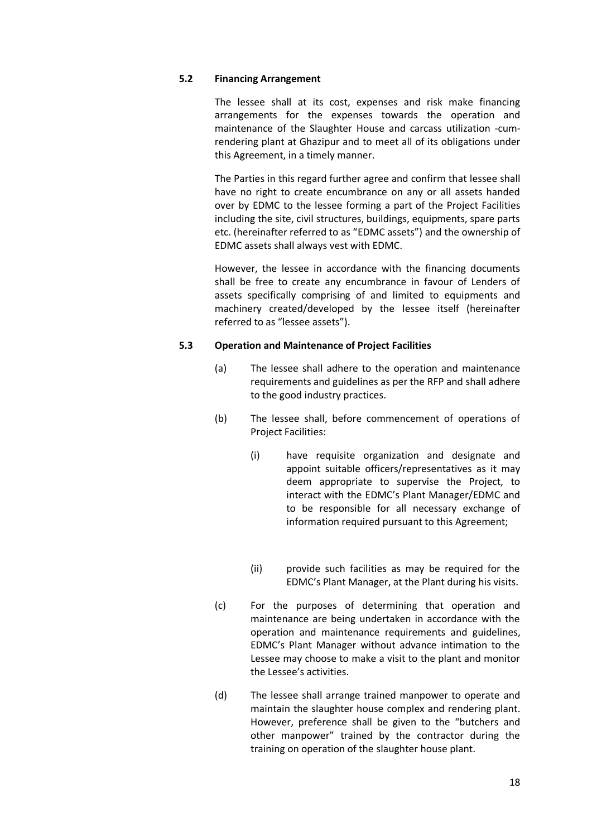### **5.2 Financing Arrangement**

The lessee shall at its cost, expenses and risk make financing arrangements for the expenses towards the operation and maintenance of the Slaughter House and carcass utilization -cumrendering plant at Ghazipur and to meet all of its obligations under this Agreement, in a timely manner.

The Parties in this regard further agree and confirm that lessee shall have no right to create encumbrance on any or all assets handed over by EDMC to the lessee forming a part of the Project Facilities including the site, civil structures, buildings, equipments, spare parts etc. (hereinafter referred to as "EDMC assets") and the ownership of EDMC assets shall always vest with EDMC.

However, the lessee in accordance with the financing documents shall be free to create any encumbrance in favour of Lenders of assets specifically comprising of and limited to equipments and machinery created/developed by the lessee itself (hereinafter referred to as "lessee assets").

## **5.3 Operation and Maintenance of Project Facilities**

- (a) The lessee shall adhere to the operation and maintenance requirements and guidelines as per the RFP and shall adhere to the good industry practices.
- (b) The lessee shall, before commencement of operations of Project Facilities:
	- (i) have requisite organization and designate and appoint suitable officers/representatives as it may deem appropriate to supervise the Project, to interact with the EDMC's Plant Manager/EDMC and to be responsible for all necessary exchange of information required pursuant to this Agreement;
	- (ii) provide such facilities as may be required for the EDMC's Plant Manager, at the Plant during his visits.
- (c) For the purposes of determining that operation and maintenance are being undertaken in accordance with the operation and maintenance requirements and guidelines, EDMC's Plant Manager without advance intimation to the Lessee may choose to make a visit to the plant and monitor the Lessee's activities.
- (d) The lessee shall arrange trained manpower to operate and maintain the slaughter house complex and rendering plant. However, preference shall be given to the "butchers and other manpower" trained by the contractor during the training on operation of the slaughter house plant.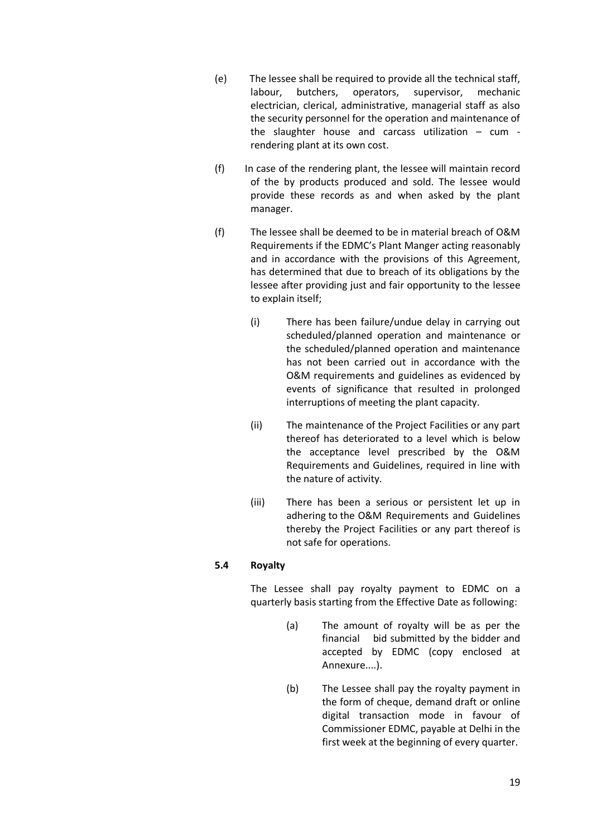- (e) The lessee shall be required to provide all the technical staff, labour, butchers, operators, supervisor, mechanic electrician, clerical, administrative, managerial staff as also the security personnel for the operation and maintenance of the slaughter house and carcass utilization – cum rendering plant at its own cost.
- (f) In case of the rendering plant, the lessee will maintain record of the by products produced and sold. The lessee would provide these records as and when asked by the plant manager.
- (f) The lessee shall be deemed to be in material breach of O&M Requirements if the EDMC's Plant Manger acting reasonably and in accordance with the provisions of this Agreement, has determined that due to breach of its obligations by the lessee after providing just and fair opportunity to the lessee to explain itself;
	- (i) There has been failure/undue delay in carrying out scheduled/planned operation and maintenance or the scheduled/planned operation and maintenance has not been carried out in accordance with the O&M requirements and guidelines as evidenced by events of significance that resulted in prolonged interruptions of meeting the plant capacity.
	- (ii) The maintenance of the Project Facilities or any part thereof has deteriorated to a level which is below the acceptance level prescribed by the O&M Requirements and Guidelines, required in line with the nature of activity.
	- (iii) There has been a serious or persistent let up in adhering to the O&M Requirements and Guidelines thereby the Project Facilities or any part thereof is not safe for operations.

# **5.4 Royalty**

The Lessee shall pay royalty payment to EDMC on a quarterly basis starting from the Effective Date as following:

- (a) The amount of royalty will be as per the financial bid submitted by the bidder and accepted by EDMC (copy enclosed at Annexure....).
- (b) The Lessee shall pay the royalty payment in the form of cheque, demand draft or online digital transaction mode in favour of Commissioner EDMC, payable at Delhi in the first week at the beginning of every quarter.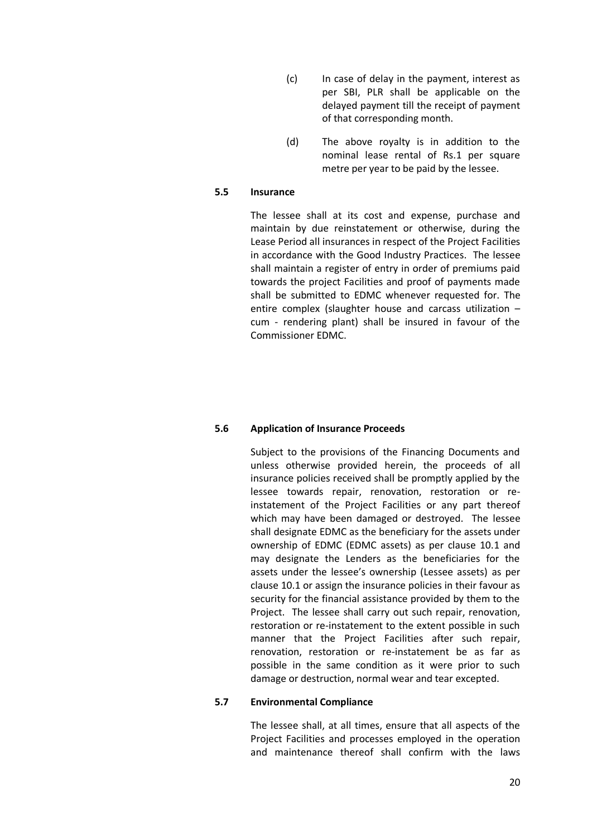- (c) In case of delay in the payment, interest as per SBI, PLR shall be applicable on the delayed payment till the receipt of payment of that corresponding month.
- (d) The above royalty is in addition to the nominal lease rental of Rs.1 per square metre per year to be paid by the lessee.

#### **5.5 Insurance**

The lessee shall at its cost and expense, purchase and maintain by due reinstatement or otherwise, during the Lease Period all insurances in respect of the Project Facilities in accordance with the Good Industry Practices. The lessee shall maintain a register of entry in order of premiums paid towards the project Facilities and proof of payments made shall be submitted to EDMC whenever requested for. The entire complex (slaughter house and carcass utilization – cum - rendering plant) shall be insured in favour of the Commissioner EDMC.

### **5.6 Application of Insurance Proceeds**

Subject to the provisions of the Financing Documents and unless otherwise provided herein, the proceeds of all insurance policies received shall be promptly applied by the lessee towards repair, renovation, restoration or reinstatement of the Project Facilities or any part thereof which may have been damaged or destroyed. The lessee shall designate EDMC as the beneficiary for the assets under ownership of EDMC (EDMC assets) as per clause 10.1 and may designate the Lenders as the beneficiaries for the assets under the lessee's ownership (Lessee assets) as per clause 10.1 or assign the insurance policies in their favour as security for the financial assistance provided by them to the Project. The lessee shall carry out such repair, renovation, restoration or re-instatement to the extent possible in such manner that the Project Facilities after such repair, renovation, restoration or re-instatement be as far as possible in the same condition as it were prior to such damage or destruction, normal wear and tear excepted.

## **5.7 Environmental Compliance**

The lessee shall, at all times, ensure that all aspects of the Project Facilities and processes employed in the operation and maintenance thereof shall confirm with the laws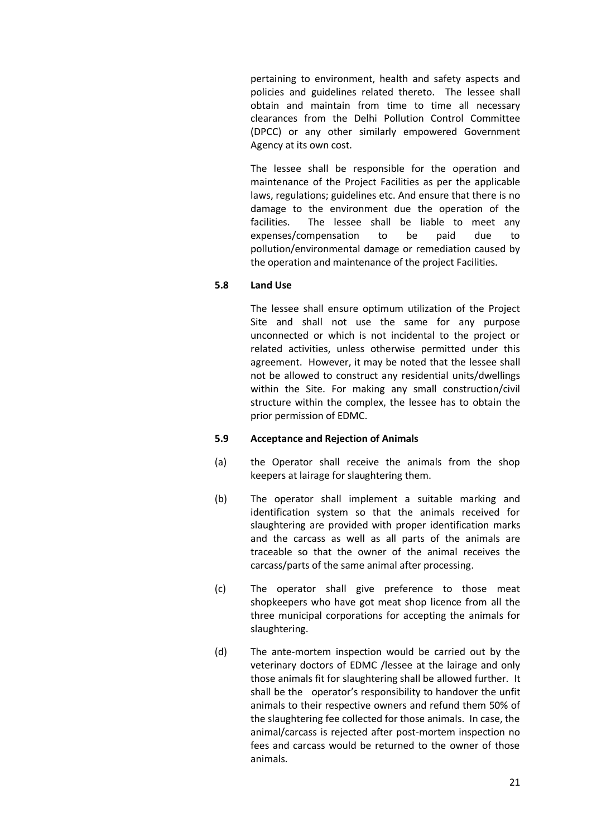pertaining to environment, health and safety aspects and policies and guidelines related thereto. The lessee shall obtain and maintain from time to time all necessary clearances from the Delhi Pollution Control Committee (DPCC) or any other similarly empowered Government Agency at its own cost.

The lessee shall be responsible for the operation and maintenance of the Project Facilities as per the applicable laws, regulations; guidelines etc. And ensure that there is no damage to the environment due the operation of the facilities. The lessee shall be liable to meet any expenses/compensation to be paid due to pollution/environmental damage or remediation caused by the operation and maintenance of the project Facilities.

## **5.8 Land Use**

The lessee shall ensure optimum utilization of the Project Site and shall not use the same for any purpose unconnected or which is not incidental to the project or related activities, unless otherwise permitted under this agreement. However, it may be noted that the lessee shall not be allowed to construct any residential units/dwellings within the Site. For making any small construction/civil structure within the complex, the lessee has to obtain the prior permission of EDMC.

## **5.9 Acceptance and Rejection of Animals**

- (a) the Operator shall receive the animals from the shop keepers at lairage for slaughtering them.
- (b) The operator shall implement a suitable marking and identification system so that the animals received for slaughtering are provided with proper identification marks and the carcass as well as all parts of the animals are traceable so that the owner of the animal receives the carcass/parts of the same animal after processing.
- (c) The operator shall give preference to those meat shopkeepers who have got meat shop licence from all the three municipal corporations for accepting the animals for slaughtering.
- (d) The ante-mortem inspection would be carried out by the veterinary doctors of EDMC /lessee at the lairage and only those animals fit for slaughtering shall be allowed further. It shall be the operator's responsibility to handover the unfit animals to their respective owners and refund them 50% of the slaughtering fee collected for those animals. In case, the animal/carcass is rejected after post-mortem inspection no fees and carcass would be returned to the owner of those animals.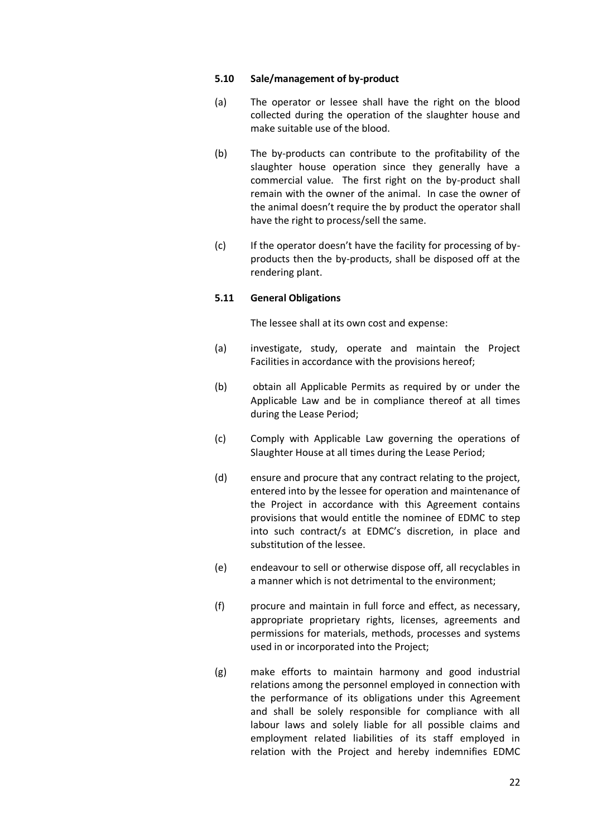#### **5.10 Sale/management of by-product**

- (a) The operator or lessee shall have the right on the blood collected during the operation of the slaughter house and make suitable use of the blood.
- (b) The by-products can contribute to the profitability of the slaughter house operation since they generally have a commercial value. The first right on the by-product shall remain with the owner of the animal. In case the owner of the animal doesn't require the by product the operator shall have the right to process/sell the same.
- (c) If the operator doesn't have the facility for processing of byproducts then the by-products, shall be disposed off at the rendering plant.

#### **5.11 General Obligations**

The lessee shall at its own cost and expense:

- (a) investigate, study, operate and maintain the Project Facilities in accordance with the provisions hereof;
- (b) obtain all Applicable Permits as required by or under the Applicable Law and be in compliance thereof at all times during the Lease Period;
- (c) Comply with Applicable Law governing the operations of Slaughter House at all times during the Lease Period;
- (d) ensure and procure that any contract relating to the project, entered into by the lessee for operation and maintenance of the Project in accordance with this Agreement contains provisions that would entitle the nominee of EDMC to step into such contract/s at EDMC's discretion, in place and substitution of the lessee.
- (e) endeavour to sell or otherwise dispose off, all recyclables in a manner which is not detrimental to the environment;
- (f) procure and maintain in full force and effect, as necessary, appropriate proprietary rights, licenses, agreements and permissions for materials, methods, processes and systems used in or incorporated into the Project;
- (g) make efforts to maintain harmony and good industrial relations among the personnel employed in connection with the performance of its obligations under this Agreement and shall be solely responsible for compliance with all labour laws and solely liable for all possible claims and employment related liabilities of its staff employed in relation with the Project and hereby indemnifies EDMC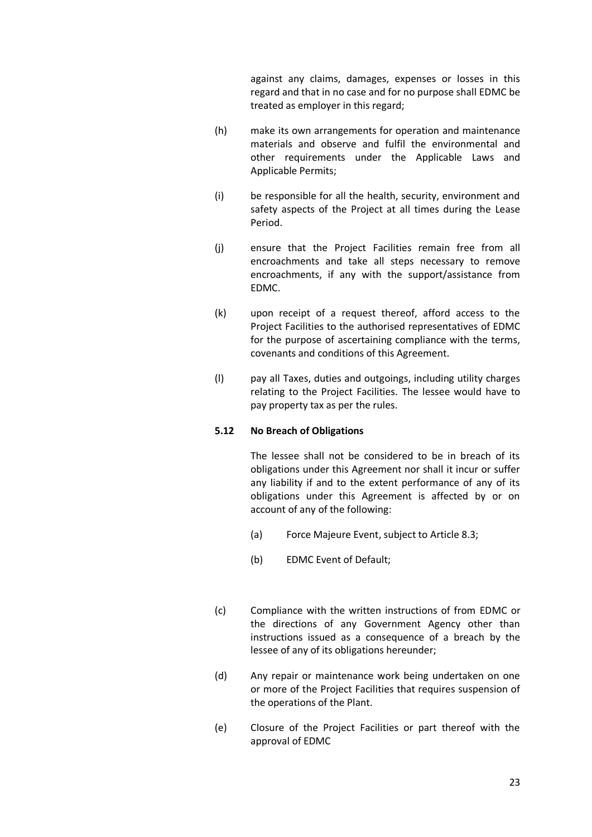against any claims, damages, expenses or losses in this regard and that in no case and for no purpose shall EDMC be treated as employer in this regard;

- (h) make its own arrangements for operation and maintenance materials and observe and fulfil the environmental and other requirements under the Applicable Laws and Applicable Permits;
- (i) be responsible for all the health, security, environment and safety aspects of the Project at all times during the Lease Period.
- (j) ensure that the Project Facilities remain free from all encroachments and take all steps necessary to remove encroachments, if any with the support/assistance from EDMC.
- (k) upon receipt of a request thereof, afford access to the Project Facilities to the authorised representatives of EDMC for the purpose of ascertaining compliance with the terms, covenants and conditions of this Agreement.
- (l) pay all Taxes, duties and outgoings, including utility charges relating to the Project Facilities. The lessee would have to pay property tax as per the rules.

## **5.12 No Breach of Obligations**

The lessee shall not be considered to be in breach of its obligations under this Agreement nor shall it incur or suffer any liability if and to the extent performance of any of its obligations under this Agreement is affected by or on account of any of the following:

- (a) Force Majeure Event, subject to Article 8.3;
- (b) EDMC Event of Default;
- (c) Compliance with the written instructions of from EDMC or the directions of any Government Agency other than instructions issued as a consequence of a breach by the lessee of any of its obligations hereunder;
- (d) Any repair or maintenance work being undertaken on one or more of the Project Facilities that requires suspension of the operations of the Plant.
- (e) Closure of the Project Facilities or part thereof with the approval of EDMC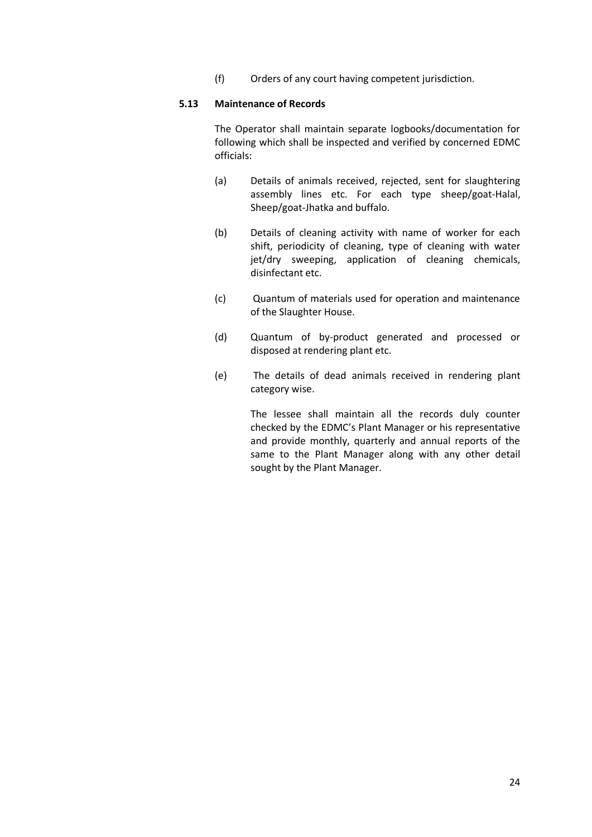(f) Orders of any court having competent jurisdiction.

### **5.13 Maintenance of Records**

The Operator shall maintain separate logbooks/documentation for following which shall be inspected and verified by concerned EDMC officials:

- (a) Details of animals received, rejected, sent for slaughtering assembly lines etc. For each type sheep/goat-Halal, Sheep/goat-Jhatka and buffalo.
- (b) Details of cleaning activity with name of worker for each shift, periodicity of cleaning, type of cleaning with water jet/dry sweeping, application of cleaning chemicals, disinfectant etc.
- (c) Quantum of materials used for operation and maintenance of the Slaughter House.
- (d) Quantum of by-product generated and processed or disposed at rendering plant etc.
- (e) The details of dead animals received in rendering plant category wise.

The lessee shall maintain all the records duly counter checked by the EDMC's Plant Manager or his representative and provide monthly, quarterly and annual reports of the same to the Plant Manager along with any other detail sought by the Plant Manager.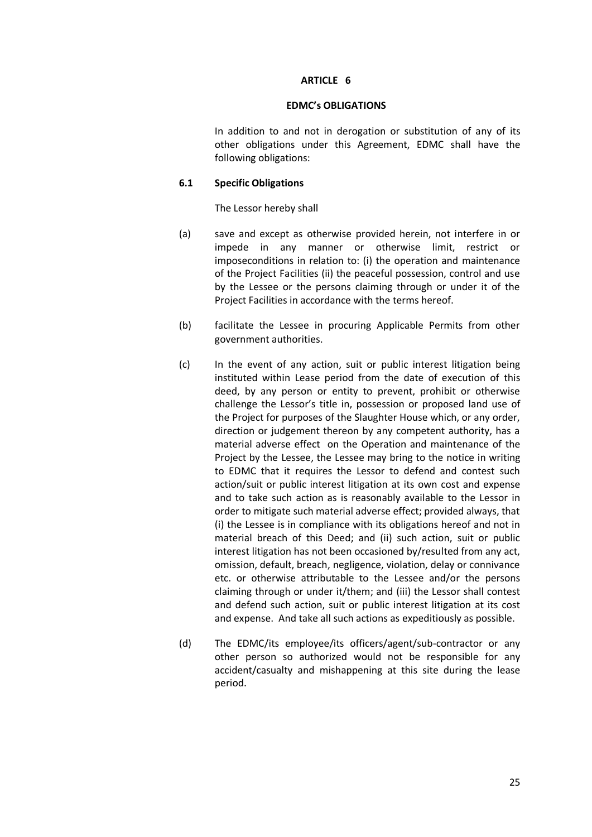#### **EDMC's OBLIGATIONS**

In addition to and not in derogation or substitution of any of its other obligations under this Agreement, EDMC shall have the following obligations:

#### **6.1 Specific Obligations**

The Lessor hereby shall

- (a) save and except as otherwise provided herein, not interfere in or impede in any manner or otherwise limit, restrict or imposeconditions in relation to: (i) the operation and maintenance of the Project Facilities (ii) the peaceful possession, control and use by the Lessee or the persons claiming through or under it of the Project Facilities in accordance with the terms hereof.
- (b) facilitate the Lessee in procuring Applicable Permits from other government authorities.
- (c) In the event of any action, suit or public interest litigation being instituted within Lease period from the date of execution of this deed, by any person or entity to prevent, prohibit or otherwise challenge the Lessor's title in, possession or proposed land use of the Project for purposes of the Slaughter House which, or any order, direction or judgement thereon by any competent authority, has a material adverse effect on the Operation and maintenance of the Project by the Lessee, the Lessee may bring to the notice in writing to EDMC that it requires the Lessor to defend and contest such action/suit or public interest litigation at its own cost and expense and to take such action as is reasonably available to the Lessor in order to mitigate such material adverse effect; provided always, that (i) the Lessee is in compliance with its obligations hereof and not in material breach of this Deed; and (ii) such action, suit or public interest litigation has not been occasioned by/resulted from any act, omission, default, breach, negligence, violation, delay or connivance etc. or otherwise attributable to the Lessee and/or the persons claiming through or under it/them; and (iii) the Lessor shall contest and defend such action, suit or public interest litigation at its cost and expense. And take all such actions as expeditiously as possible.
- (d) The EDMC/its employee/its officers/agent/sub-contractor or any other person so authorized would not be responsible for any accident/casualty and mishappening at this site during the lease period.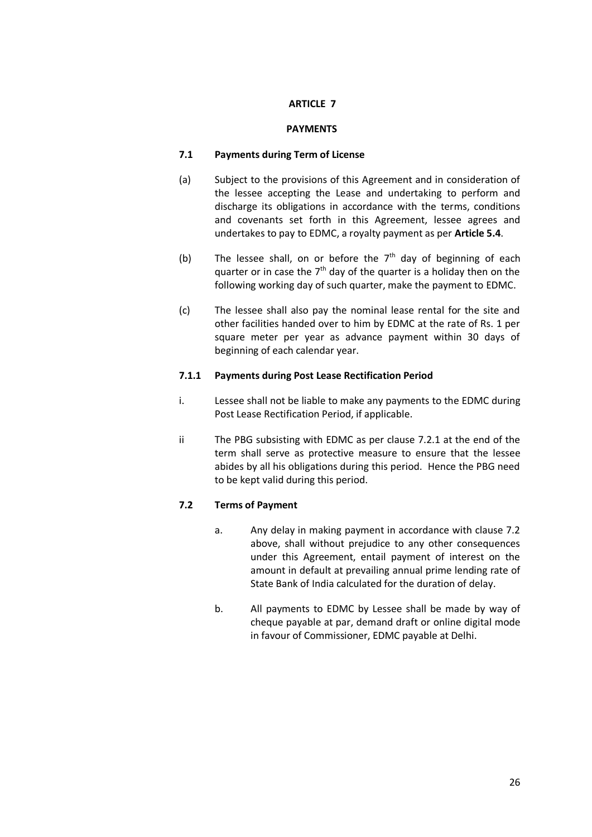## **PAYMENTS**

### **7.1 Payments during Term of License**

- (a) Subject to the provisions of this Agreement and in consideration of the lessee accepting the Lease and undertaking to perform and discharge its obligations in accordance with the terms, conditions and covenants set forth in this Agreement, lessee agrees and undertakes to pay to EDMC, a royalty payment as per **Article 5.4**.
- (b) The lessee shall, on or before the  $7<sup>th</sup>$  day of beginning of each quarter or in case the  $7<sup>th</sup>$  day of the quarter is a holiday then on the following working day of such quarter, make the payment to EDMC.
- (c) The lessee shall also pay the nominal lease rental for the site and other facilities handed over to him by EDMC at the rate of Rs. 1 per square meter per year as advance payment within 30 days of beginning of each calendar year.

#### **7.1.1 Payments during Post Lease Rectification Period**

- i. Lessee shall not be liable to make any payments to the EDMC during Post Lease Rectification Period, if applicable.
- ii The PBG subsisting with EDMC as per clause 7.2.1 at the end of the term shall serve as protective measure to ensure that the lessee abides by all his obligations during this period. Hence the PBG need to be kept valid during this period.

## **7.2 Terms of Payment**

- a. Any delay in making payment in accordance with clause 7.2 above, shall without prejudice to any other consequences under this Agreement, entail payment of interest on the amount in default at prevailing annual prime lending rate of State Bank of India calculated for the duration of delay.
- b. All payments to EDMC by Lessee shall be made by way of cheque payable at par, demand draft or online digital mode in favour of Commissioner, EDMC payable at Delhi.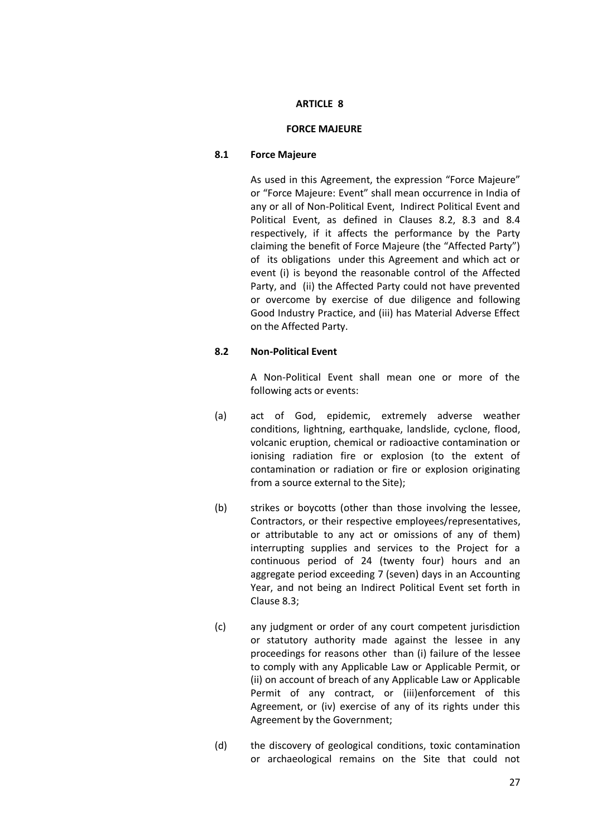#### **FORCE MAJEURE**

### **8.1 Force Majeure**

As used in this Agreement, the expression "Force Majeure" or "Force Majeure: Event" shall mean occurrence in India of any or all of Non-Political Event, Indirect Political Event and Political Event, as defined in Clauses 8.2, 8.3 and 8.4 respectively, if it affects the performance by the Party claiming the benefit of Force Majeure (the "Affected Party") of its obligations under this Agreement and which act or event (i) is beyond the reasonable control of the Affected Party, and (ii) the Affected Party could not have prevented or overcome by exercise of due diligence and following Good Industry Practice, and (iii) has Material Adverse Effect on the Affected Party.

## **8.2 Non-Political Event**

A Non-Political Event shall mean one or more of the following acts or events:

- (a) act of God, epidemic, extremely adverse weather conditions, lightning, earthquake, landslide, cyclone, flood, volcanic eruption, chemical or radioactive contamination or ionising radiation fire or explosion (to the extent of contamination or radiation or fire or explosion originating from a source external to the Site);
- (b) strikes or boycotts (other than those involving the lessee, Contractors, or their respective employees/representatives, or attributable to any act or omissions of any of them) interrupting supplies and services to the Project for a continuous period of 24 (twenty four) hours and an aggregate period exceeding 7 (seven) days in an Accounting Year, and not being an Indirect Political Event set forth in Clause 8.3;
- (c) any judgment or order of any court competent jurisdiction or statutory authority made against the lessee in any proceedings for reasons other than (i) failure of the lessee to comply with any Applicable Law or Applicable Permit, or (ii) on account of breach of any Applicable Law or Applicable Permit of any contract, or (iii)enforcement of this Agreement, or (iv) exercise of any of its rights under this Agreement by the Government;
- (d) the discovery of geological conditions, toxic contamination or archaeological remains on the Site that could not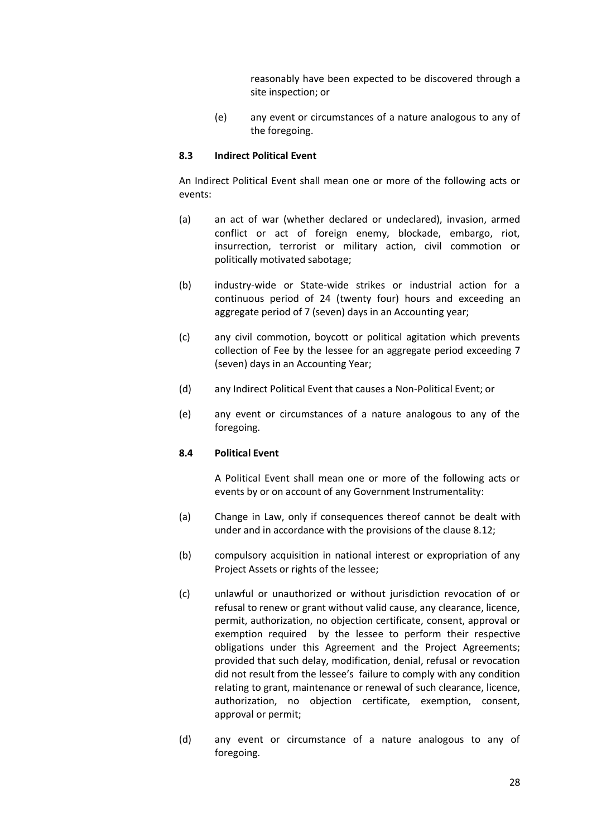reasonably have been expected to be discovered through a site inspection; or

(e) any event or circumstances of a nature analogous to any of the foregoing.

#### **8.3 Indirect Political Event**

An Indirect Political Event shall mean one or more of the following acts or events:

- (a) an act of war (whether declared or undeclared), invasion, armed conflict or act of foreign enemy, blockade, embargo, riot, insurrection, terrorist or military action, civil commotion or politically motivated sabotage;
- (b) industry-wide or State-wide strikes or industrial action for a continuous period of 24 (twenty four) hours and exceeding an aggregate period of 7 (seven) days in an Accounting year;
- (c) any civil commotion, boycott or political agitation which prevents collection of Fee by the lessee for an aggregate period exceeding 7 (seven) days in an Accounting Year;
- (d) any Indirect Political Event that causes a Non-Political Event; or
- (e) any event or circumstances of a nature analogous to any of the foregoing.

## **8.4 Political Event**

A Political Event shall mean one or more of the following acts or events by or on account of any Government Instrumentality:

- (a) Change in Law, only if consequences thereof cannot be dealt with under and in accordance with the provisions of the clause 8.12;
- (b) compulsory acquisition in national interest or expropriation of any Project Assets or rights of the lessee;
- (c) unlawful or unauthorized or without jurisdiction revocation of or refusal to renew or grant without valid cause, any clearance, licence, permit, authorization, no objection certificate, consent, approval or exemption required by the lessee to perform their respective obligations under this Agreement and the Project Agreements; provided that such delay, modification, denial, refusal or revocation did not result from the lessee's failure to comply with any condition relating to grant, maintenance or renewal of such clearance, licence, authorization, no objection certificate, exemption, consent, approval or permit;
- (d) any event or circumstance of a nature analogous to any of foregoing.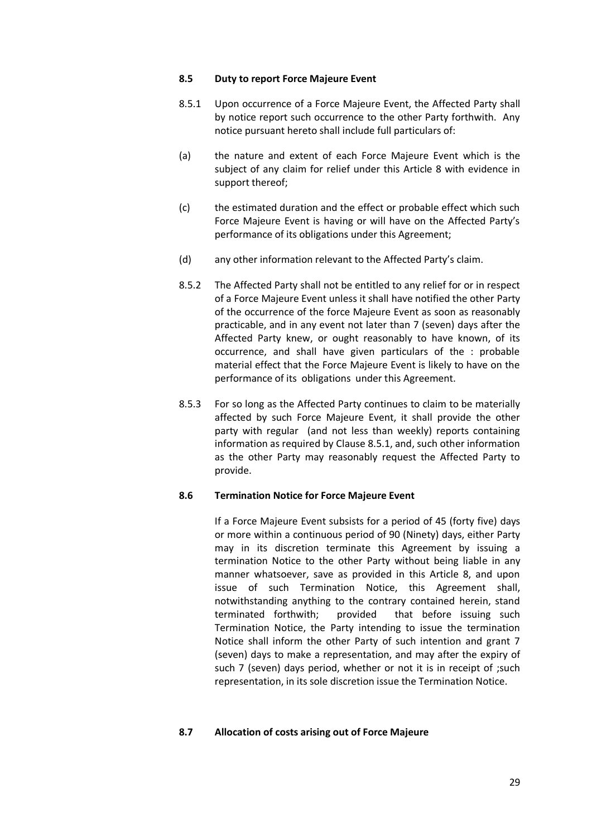#### **8.5 Duty to report Force Majeure Event**

- 8.5.1 Upon occurrence of a Force Majeure Event, the Affected Party shall by notice report such occurrence to the other Party forthwith. Any notice pursuant hereto shall include full particulars of:
- (a) the nature and extent of each Force Majeure Event which is the subject of any claim for relief under this Article 8 with evidence in support thereof;
- (c) the estimated duration and the effect or probable effect which such Force Majeure Event is having or will have on the Affected Party's performance of its obligations under this Agreement;
- (d) any other information relevant to the Affected Party's claim.
- 8.5.2 The Affected Party shall not be entitled to any relief for or in respect of a Force Majeure Event unless it shall have notified the other Party of the occurrence of the force Majeure Event as soon as reasonably practicable, and in any event not later than 7 (seven) days after the Affected Party knew, or ought reasonably to have known, of its occurrence, and shall have given particulars of the : probable material effect that the Force Majeure Event is likely to have on the performance of its obligations under this Agreement.
- 8.5.3 For so long as the Affected Party continues to claim to be materially affected by such Force Majeure Event, it shall provide the other party with regular (and not less than weekly) reports containing information as required by Clause 8.5.1, and, such other information as the other Party may reasonably request the Affected Party to provide.

## **8.6 Termination Notice for Force Majeure Event**

If a Force Majeure Event subsists for a period of 45 (forty five) days or more within a continuous period of 90 (Ninety) days, either Party may in its discretion terminate this Agreement by issuing a termination Notice to the other Party without being liable in any manner whatsoever, save as provided in this Article 8, and upon issue of such Termination Notice, this Agreement shall, notwithstanding anything to the contrary contained herein, stand terminated forthwith; provided that before issuing such Termination Notice, the Party intending to issue the termination Notice shall inform the other Party of such intention and grant 7 (seven) days to make a representation, and may after the expiry of such 7 (seven) days period, whether or not it is in receipt of ;such representation, in its sole discretion issue the Termination Notice.

# **8.7 Allocation of costs arising out of Force Majeure**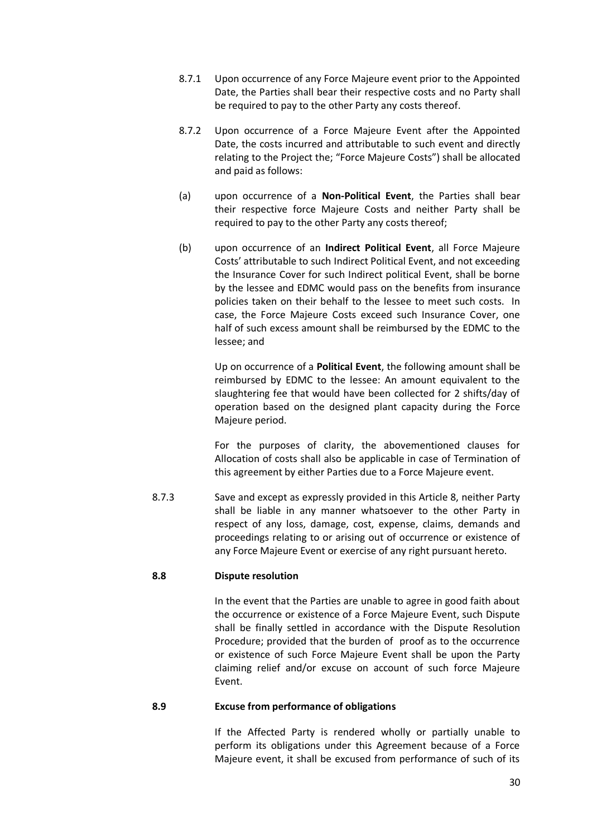- 8.7.1 Upon occurrence of any Force Majeure event prior to the Appointed Date, the Parties shall bear their respective costs and no Party shall be required to pay to the other Party any costs thereof.
- 8.7.2 Upon occurrence of a Force Majeure Event after the Appointed Date, the costs incurred and attributable to such event and directly relating to the Project the; "Force Majeure Costs") shall be allocated and paid as follows:
- (a) upon occurrence of a **Non-Political Event**, the Parties shall bear their respective force Majeure Costs and neither Party shall be required to pay to the other Party any costs thereof;
- (b) upon occurrence of an **Indirect Political Event**, all Force Majeure Costs' attributable to such Indirect Political Event, and not exceeding the Insurance Cover for such Indirect political Event, shall be borne by the lessee and EDMC would pass on the benefits from insurance policies taken on their behalf to the lessee to meet such costs. In case, the Force Majeure Costs exceed such Insurance Cover, one half of such excess amount shall be reimbursed by the EDMC to the lessee; and

Up on occurrence of a **Political Event**, the following amount shall be reimbursed by EDMC to the lessee: An amount equivalent to the slaughtering fee that would have been collected for 2 shifts/day of operation based on the designed plant capacity during the Force Majeure period.

For the purposes of clarity, the abovementioned clauses for Allocation of costs shall also be applicable in case of Termination of this agreement by either Parties due to a Force Majeure event.

8.7.3 Save and except as expressly provided in this Article 8, neither Party shall be liable in any manner whatsoever to the other Party in respect of any loss, damage, cost, expense, claims, demands and proceedings relating to or arising out of occurrence or existence of any Force Majeure Event or exercise of any right pursuant hereto.

## **8.8 Dispute resolution**

In the event that the Parties are unable to agree in good faith about the occurrence or existence of a Force Majeure Event, such Dispute shall be finally settled in accordance with the Dispute Resolution Procedure; provided that the burden of proof as to the occurrence or existence of such Force Majeure Event shall be upon the Party claiming relief and/or excuse on account of such force Majeure Event.

#### **8.9 Excuse from performance of obligations**

If the Affected Party is rendered wholly or partially unable to perform its obligations under this Agreement because of a Force Majeure event, it shall be excused from performance of such of its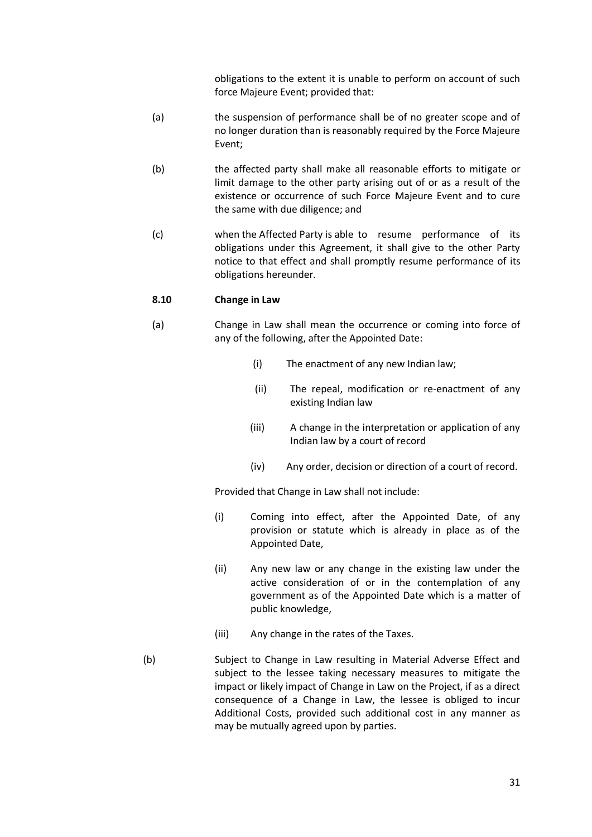obligations to the extent it is unable to perform on account of such force Majeure Event; provided that:

- (a) the suspension of performance shall be of no greater scope and of no longer duration than is reasonably required by the Force Majeure Event;
- (b) the affected party shall make all reasonable efforts to mitigate or limit damage to the other party arising out of or as a result of the existence or occurrence of such Force Majeure Event and to cure the same with due diligence; and
- (c) when the Affected Party is able to resume performance of its obligations under this Agreement, it shall give to the other Party notice to that effect and shall promptly resume performance of its obligations hereunder.

## **8.10 Change in Law**

- (a) Change in Law shall mean the occurrence or coming into force of any of the following, after the Appointed Date:
	- (i) The enactment of any new Indian law;
	- (ii) The repeal, modification or re-enactment of any existing Indian law
	- (iii) A change in the interpretation or application of any Indian law by a court of record
	- (iv) Any order, decision or direction of a court of record.

Provided that Change in Law shall not include:

- (i) Coming into effect, after the Appointed Date, of any provision or statute which is already in place as of the Appointed Date,
- (ii) Any new law or any change in the existing law under the active consideration of or in the contemplation of any government as of the Appointed Date which is a matter of public knowledge,
- (iii) Any change in the rates of the Taxes.
- (b) Subject to Change in Law resulting in Material Adverse Effect and subject to the lessee taking necessary measures to mitigate the impact or likely impact of Change in Law on the Project, if as a direct consequence of a Change in Law, the lessee is obliged to incur Additional Costs, provided such additional cost in any manner as may be mutually agreed upon by parties.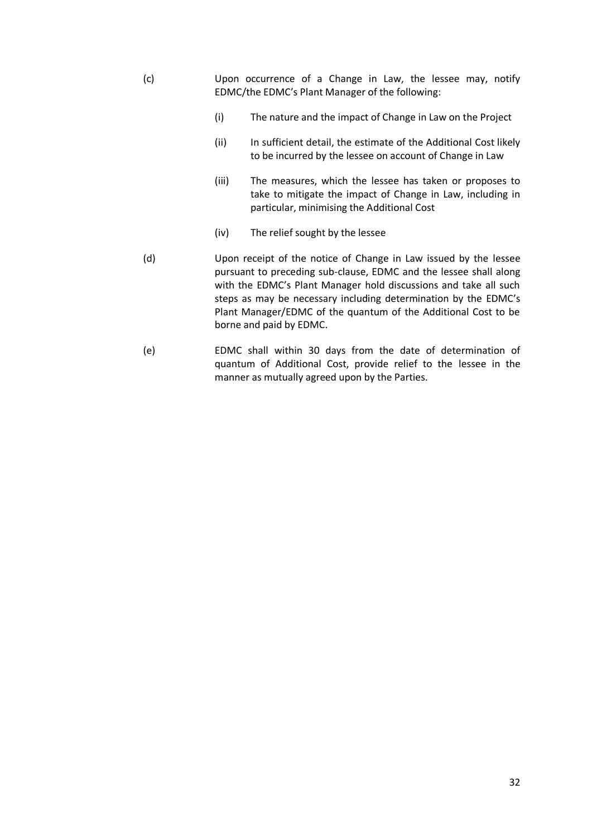- (c) Upon occurrence of a Change in Law, the lessee may, notify EDMC/the EDMC's Plant Manager of the following:
	- (i) The nature and the impact of Change in Law on the Project
	- (ii) In sufficient detail, the estimate of the Additional Cost likely to be incurred by the lessee on account of Change in Law
	- (iii) The measures, which the lessee has taken or proposes to take to mitigate the impact of Change in Law, including in particular, minimising the Additional Cost
	- (iv) The relief sought by the lessee
- (d) Upon receipt of the notice of Change in Law issued by the lessee pursuant to preceding sub-clause, EDMC and the lessee shall along with the EDMC's Plant Manager hold discussions and take all such steps as may be necessary including determination by the EDMC's Plant Manager/EDMC of the quantum of the Additional Cost to be borne and paid by EDMC.
- (e) EDMC shall within 30 days from the date of determination of quantum of Additional Cost, provide relief to the lessee in the manner as mutually agreed upon by the Parties.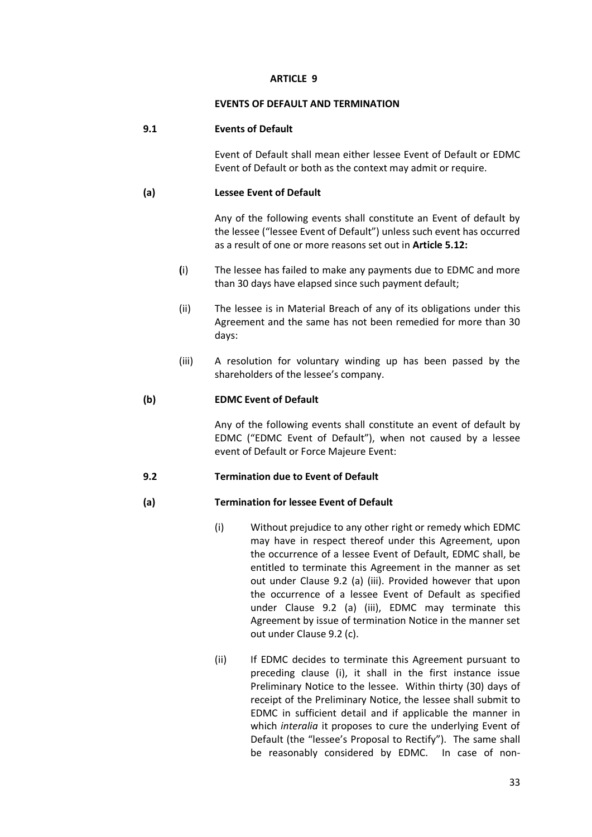## **EVENTS OF DEFAULT AND TERMINATION**

# **9.1 Events of Default**

Event of Default shall mean either lessee Event of Default or EDMC Event of Default or both as the context may admit or require.

# **(a) Lessee Event of Default**

Any of the following events shall constitute an Event of default by the lessee ("lessee Event of Default") unless such event has occurred as a result of one or more reasons set out in **Article 5.12:**

- **(**i) The lessee has failed to make any payments due to EDMC and more than 30 days have elapsed since such payment default;
- (ii) The lessee is in Material Breach of any of its obligations under this Agreement and the same has not been remedied for more than 30 days:
- (iii) A resolution for voluntary winding up has been passed by the shareholders of the lessee's company.

# **(b) EDMC Event of Default**

Any of the following events shall constitute an event of default by EDMC ("EDMC Event of Default"), when not caused by a lessee event of Default or Force Majeure Event:

# **9.2 Termination due to Event of Default**

# **(a) Termination for lessee Event of Default**

- (i) Without prejudice to any other right or remedy which EDMC may have in respect thereof under this Agreement, upon the occurrence of a lessee Event of Default, EDMC shall, be entitled to terminate this Agreement in the manner as set out under Clause 9.2 (a) (iii). Provided however that upon the occurrence of a lessee Event of Default as specified under Clause 9.2 (a) (iii), EDMC may terminate this Agreement by issue of termination Notice in the manner set out under Clause 9.2 (c).
- (ii) If EDMC decides to terminate this Agreement pursuant to preceding clause (i), it shall in the first instance issue Preliminary Notice to the lessee. Within thirty (30) days of receipt of the Preliminary Notice, the lessee shall submit to EDMC in sufficient detail and if applicable the manner in which *interalia* it proposes to cure the underlying Event of Default (the "lessee's Proposal to Rectify"). The same shall be reasonably considered by EDMC. In case of non-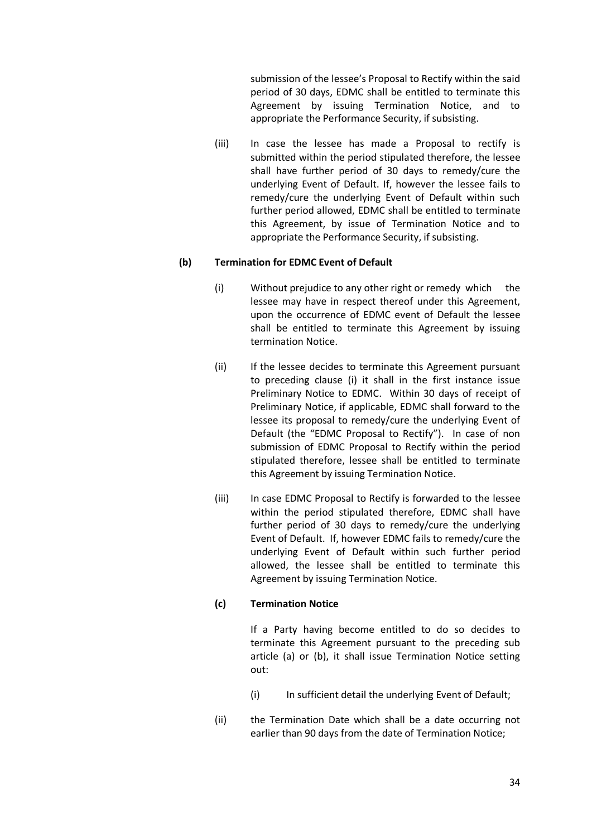submission of the lessee's Proposal to Rectify within the said period of 30 days, EDMC shall be entitled to terminate this Agreement by issuing Termination Notice, and to appropriate the Performance Security, if subsisting.

(iii) In case the lessee has made a Proposal to rectify is submitted within the period stipulated therefore, the lessee shall have further period of 30 days to remedy/cure the underlying Event of Default. If, however the lessee fails to remedy/cure the underlying Event of Default within such further period allowed, EDMC shall be entitled to terminate this Agreement, by issue of Termination Notice and to appropriate the Performance Security, if subsisting.

## **(b) Termination for EDMC Event of Default**

- (i) Without prejudice to any other right or remedy which the lessee may have in respect thereof under this Agreement, upon the occurrence of EDMC event of Default the lessee shall be entitled to terminate this Agreement by issuing termination Notice.
- (ii) If the lessee decides to terminate this Agreement pursuant to preceding clause (i) it shall in the first instance issue Preliminary Notice to EDMC. Within 30 days of receipt of Preliminary Notice, if applicable, EDMC shall forward to the lessee its proposal to remedy/cure the underlying Event of Default (the "EDMC Proposal to Rectify"). In case of non submission of EDMC Proposal to Rectify within the period stipulated therefore, lessee shall be entitled to terminate this Agreement by issuing Termination Notice.
- (iii) In case EDMC Proposal to Rectify is forwarded to the lessee within the period stipulated therefore, EDMC shall have further period of 30 days to remedy/cure the underlying Event of Default. If, however EDMC fails to remedy/cure the underlying Event of Default within such further period allowed, the lessee shall be entitled to terminate this Agreement by issuing Termination Notice.

# **(c) Termination Notice**

If a Party having become entitled to do so decides to terminate this Agreement pursuant to the preceding sub article (a) or (b), it shall issue Termination Notice setting out:

- (i) In sufficient detail the underlying Event of Default;
- (ii) the Termination Date which shall be a date occurring not earlier than 90 days from the date of Termination Notice;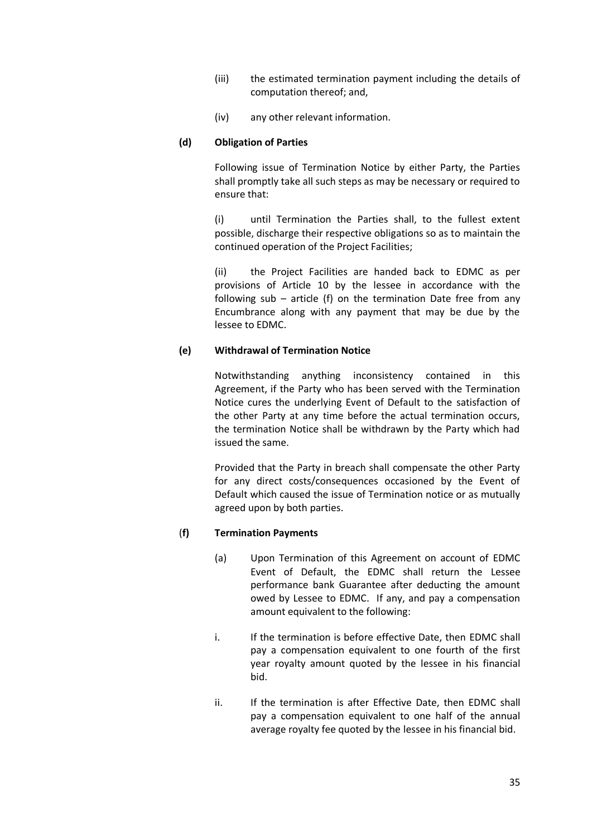- (iii) the estimated termination payment including the details of computation thereof; and,
- (iv) any other relevant information.

## **(d) Obligation of Parties**

Following issue of Termination Notice by either Party, the Parties shall promptly take all such steps as may be necessary or required to ensure that:

(i) until Termination the Parties shall, to the fullest extent possible, discharge their respective obligations so as to maintain the continued operation of the Project Facilities;

(ii) the Project Facilities are handed back to EDMC as per provisions of Article 10 by the lessee in accordance with the following sub – article (f) on the termination Date free from any Encumbrance along with any payment that may be due by the lessee to EDMC.

## **(e) Withdrawal of Termination Notice**

Notwithstanding anything inconsistency contained in this Agreement, if the Party who has been served with the Termination Notice cures the underlying Event of Default to the satisfaction of the other Party at any time before the actual termination occurs, the termination Notice shall be withdrawn by the Party which had issued the same.

Provided that the Party in breach shall compensate the other Party for any direct costs/consequences occasioned by the Event of Default which caused the issue of Termination notice or as mutually agreed upon by both parties.

# (**f) Termination Payments**

- (a) Upon Termination of this Agreement on account of EDMC Event of Default, the EDMC shall return the Lessee performance bank Guarantee after deducting the amount owed by Lessee to EDMC. If any, and pay a compensation amount equivalent to the following:
- i. If the termination is before effective Date, then EDMC shall pay a compensation equivalent to one fourth of the first year royalty amount quoted by the lessee in his financial bid.
- ii. If the termination is after Effective Date, then EDMC shall pay a compensation equivalent to one half of the annual average royalty fee quoted by the lessee in his financial bid.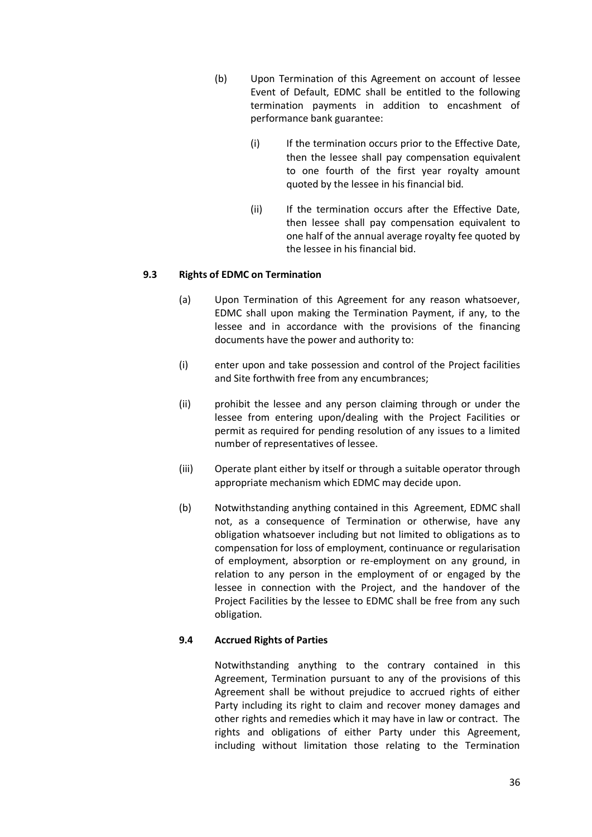- (b) Upon Termination of this Agreement on account of lessee Event of Default, EDMC shall be entitled to the following termination payments in addition to encashment of performance bank guarantee:
	- (i) If the termination occurs prior to the Effective Date, then the lessee shall pay compensation equivalent to one fourth of the first year royalty amount quoted by the lessee in his financial bid.
	- (ii) If the termination occurs after the Effective Date, then lessee shall pay compensation equivalent to one half of the annual average royalty fee quoted by the lessee in his financial bid.

## **9.3 Rights of EDMC on Termination**

- (a) Upon Termination of this Agreement for any reason whatsoever, EDMC shall upon making the Termination Payment, if any, to the lessee and in accordance with the provisions of the financing documents have the power and authority to:
- (i) enter upon and take possession and control of the Project facilities and Site forthwith free from any encumbrances;
- (ii) prohibit the lessee and any person claiming through or under the lessee from entering upon/dealing with the Project Facilities or permit as required for pending resolution of any issues to a limited number of representatives of lessee.
- (iii) Operate plant either by itself or through a suitable operator through appropriate mechanism which EDMC may decide upon.
- (b) Notwithstanding anything contained in this Agreement, EDMC shall not, as a consequence of Termination or otherwise, have any obligation whatsoever including but not limited to obligations as to compensation for loss of employment, continuance or regularisation of employment, absorption or re-employment on any ground, in relation to any person in the employment of or engaged by the lessee in connection with the Project, and the handover of the Project Facilities by the lessee to EDMC shall be free from any such obligation.

## **9.4 Accrued Rights of Parties**

Notwithstanding anything to the contrary contained in this Agreement, Termination pursuant to any of the provisions of this Agreement shall be without prejudice to accrued rights of either Party including its right to claim and recover money damages and other rights and remedies which it may have in law or contract. The rights and obligations of either Party under this Agreement, including without limitation those relating to the Termination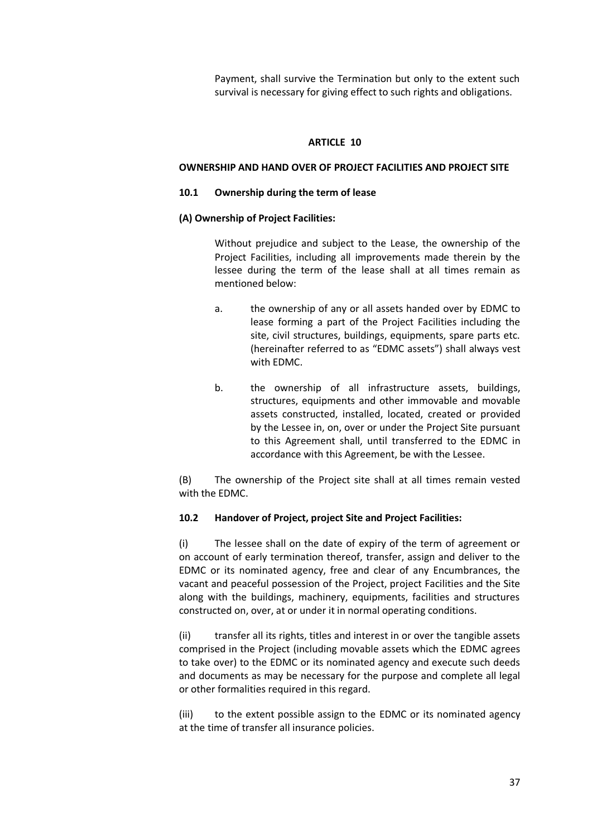Payment, shall survive the Termination but only to the extent such survival is necessary for giving effect to such rights and obligations.

#### **ARTICLE 10**

### **OWNERSHIP AND HAND OVER OF PROJECT FACILITIES AND PROJECT SITE**

#### **10.1 Ownership during the term of lease**

#### **(A) Ownership of Project Facilities:**

Without prejudice and subject to the Lease, the ownership of the Project Facilities, including all improvements made therein by the lessee during the term of the lease shall at all times remain as mentioned below:

- a. the ownership of any or all assets handed over by EDMC to lease forming a part of the Project Facilities including the site, civil structures, buildings, equipments, spare parts etc. (hereinafter referred to as "EDMC assets") shall always vest with EDMC.
- b. the ownership of all infrastructure assets, buildings, structures, equipments and other immovable and movable assets constructed, installed, located, created or provided by the Lessee in, on, over or under the Project Site pursuant to this Agreement shall, until transferred to the EDMC in accordance with this Agreement, be with the Lessee.

(B) The ownership of the Project site shall at all times remain vested with the EDMC.

## **10.2 Handover of Project, project Site and Project Facilities:**

(i) The lessee shall on the date of expiry of the term of agreement or on account of early termination thereof, transfer, assign and deliver to the EDMC or its nominated agency, free and clear of any Encumbrances, the vacant and peaceful possession of the Project, project Facilities and the Site along with the buildings, machinery, equipments, facilities and structures constructed on, over, at or under it in normal operating conditions.

(ii) transfer all its rights, titles and interest in or over the tangible assets comprised in the Project (including movable assets which the EDMC agrees to take over) to the EDMC or its nominated agency and execute such deeds and documents as may be necessary for the purpose and complete all legal or other formalities required in this regard.

(iii) to the extent possible assign to the EDMC or its nominated agency at the time of transfer all insurance policies.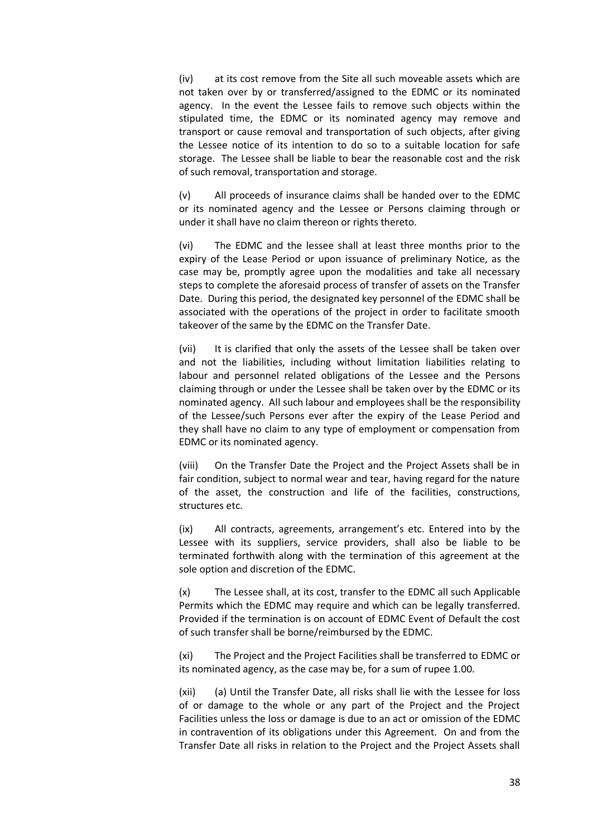(iv) at its cost remove from the Site all such moveable assets which are not taken over by or transferred/assigned to the EDMC or its nominated agency. In the event the Lessee fails to remove such objects within the stipulated time, the EDMC or its nominated agency may remove and transport or cause removal and transportation of such objects, after giving the Lessee notice of its intention to do so to a suitable location for safe storage. The Lessee shall be liable to bear the reasonable cost and the risk of such removal, transportation and storage.

(v) All proceeds of insurance claims shall be handed over to the EDMC or its nominated agency and the Lessee or Persons claiming through or under it shall have no claim thereon or rights thereto.

(vi) The EDMC and the lessee shall at least three months prior to the expiry of the Lease Period or upon issuance of preliminary Notice, as the case may be, promptly agree upon the modalities and take all necessary steps to complete the aforesaid process of transfer of assets on the Transfer Date. During this period, the designated key personnel of the EDMC shall be associated with the operations of the project in order to facilitate smooth takeover of the same by the EDMC on the Transfer Date.

(vii) It is clarified that only the assets of the Lessee shall be taken over and not the liabilities, including without limitation liabilities relating to labour and personnel related obligations of the Lessee and the Persons claiming through or under the Lessee shall be taken over by the EDMC or its nominated agency. All such labour and employees shall be the responsibility of the Lessee/such Persons ever after the expiry of the Lease Period and they shall have no claim to any type of employment or compensation from EDMC or its nominated agency.

(viii) On the Transfer Date the Project and the Project Assets shall be in fair condition, subject to normal wear and tear, having regard for the nature of the asset, the construction and life of the facilities, constructions, structures etc.

(ix) All contracts, agreements, arrangement's etc. Entered into by the Lessee with its suppliers, service providers, shall also be liable to be terminated forthwith along with the termination of this agreement at the sole option and discretion of the EDMC.

(x) The Lessee shall, at its cost, transfer to the EDMC all such Applicable Permits which the EDMC may require and which can be legally transferred. Provided if the termination is on account of EDMC Event of Default the cost of such transfer shall be borne/reimbursed by the EDMC.

(xi) The Project and the Project Facilities shall be transferred to EDMC or its nominated agency, as the case may be, for a sum of rupee 1.00.

(xii) (a) Until the Transfer Date, all risks shall lie with the Lessee for loss of or damage to the whole or any part of the Project and the Project Facilities unless the loss or damage is due to an act or omission of the EDMC in contravention of its obligations under this Agreement. On and from the Transfer Date all risks in relation to the Project and the Project Assets shall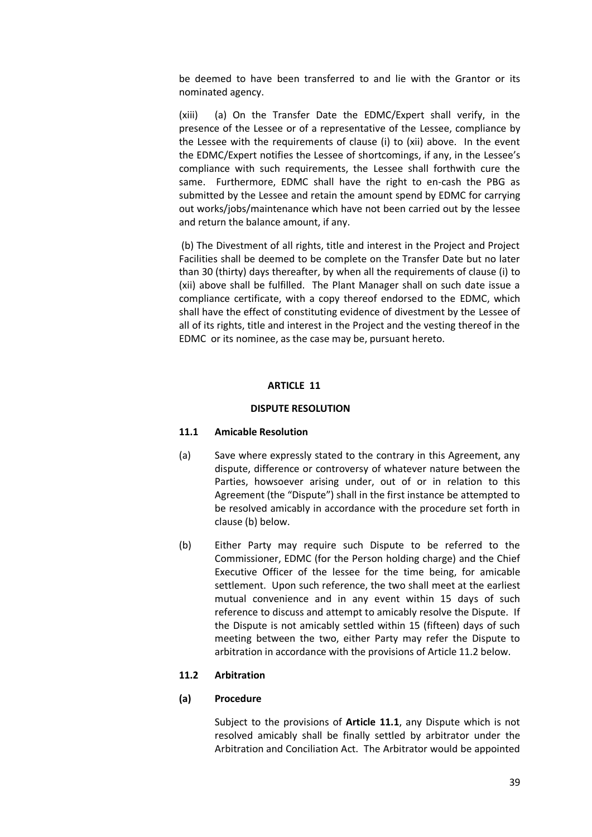be deemed to have been transferred to and lie with the Grantor or its nominated agency.

(xiii) (a) On the Transfer Date the EDMC/Expert shall verify, in the presence of the Lessee or of a representative of the Lessee, compliance by the Lessee with the requirements of clause (i) to (xii) above. In the event the EDMC/Expert notifies the Lessee of shortcomings, if any, in the Lessee's compliance with such requirements, the Lessee shall forthwith cure the same. Furthermore, EDMC shall have the right to en-cash the PBG as submitted by the Lessee and retain the amount spend by EDMC for carrying out works/jobs/maintenance which have not been carried out by the lessee and return the balance amount, if any.

(b) The Divestment of all rights, title and interest in the Project and Project Facilities shall be deemed to be complete on the Transfer Date but no later than 30 (thirty) days thereafter, by when all the requirements of clause (i) to (xii) above shall be fulfilled. The Plant Manager shall on such date issue a compliance certificate, with a copy thereof endorsed to the EDMC, which shall have the effect of constituting evidence of divestment by the Lessee of all of its rights, title and interest in the Project and the vesting thereof in the EDMC or its nominee, as the case may be, pursuant hereto.

## **ARTICLE 11**

### **DISPUTE RESOLUTION**

#### **11.1 Amicable Resolution**

- (a) Save where expressly stated to the contrary in this Agreement, any dispute, difference or controversy of whatever nature between the Parties, howsoever arising under, out of or in relation to this Agreement (the "Dispute") shall in the first instance be attempted to be resolved amicably in accordance with the procedure set forth in clause (b) below.
- (b) Either Party may require such Dispute to be referred to the Commissioner, EDMC (for the Person holding charge) and the Chief Executive Officer of the lessee for the time being, for amicable settlement. Upon such reference, the two shall meet at the earliest mutual convenience and in any event within 15 days of such reference to discuss and attempt to amicably resolve the Dispute. If the Dispute is not amicably settled within 15 (fifteen) days of such meeting between the two, either Party may refer the Dispute to arbitration in accordance with the provisions of Article 11.2 below.

#### **11.2 Arbitration**

#### **(a) Procedure**

Subject to the provisions of **Article 11.1**, any Dispute which is not resolved amicably shall be finally settled by arbitrator under the Arbitration and Conciliation Act. The Arbitrator would be appointed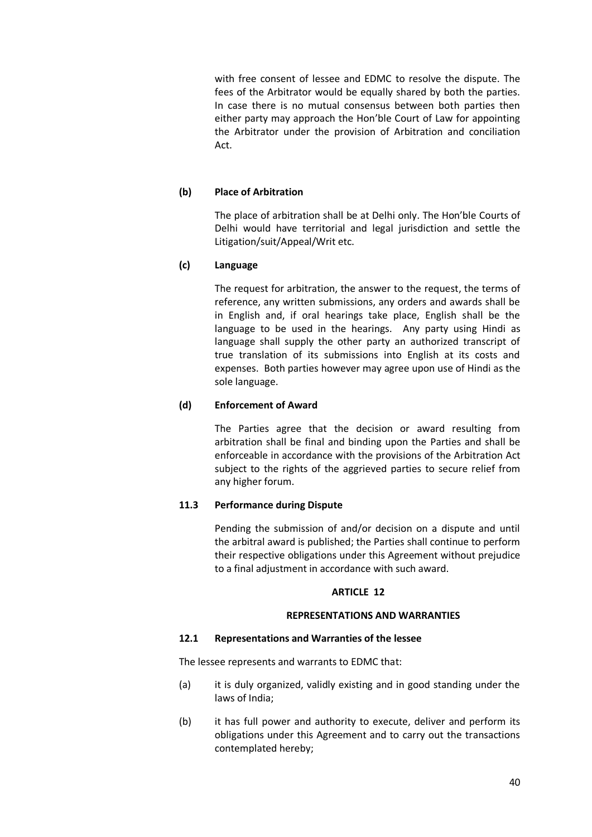with free consent of lessee and EDMC to resolve the dispute. The fees of the Arbitrator would be equally shared by both the parties. In case there is no mutual consensus between both parties then either party may approach the Hon'ble Court of Law for appointing the Arbitrator under the provision of Arbitration and conciliation Act.

## **(b) Place of Arbitration**

The place of arbitration shall be at Delhi only. The Hon'ble Courts of Delhi would have territorial and legal jurisdiction and settle the Litigation/suit/Appeal/Writ etc.

## **(c) Language**

The request for arbitration, the answer to the request, the terms of reference, any written submissions, any orders and awards shall be in English and, if oral hearings take place, English shall be the language to be used in the hearings. Any party using Hindi as language shall supply the other party an authorized transcript of true translation of its submissions into English at its costs and expenses. Both parties however may agree upon use of Hindi as the sole language.

# **(d) Enforcement of Award**

The Parties agree that the decision or award resulting from arbitration shall be final and binding upon the Parties and shall be enforceable in accordance with the provisions of the Arbitration Act subject to the rights of the aggrieved parties to secure relief from any higher forum.

# **11.3 Performance during Dispute**

Pending the submission of and/or decision on a dispute and until the arbitral award is published; the Parties shall continue to perform their respective obligations under this Agreement without prejudice to a final adjustment in accordance with such award.

## **ARTICLE 12**

## **REPRESENTATIONS AND WARRANTIES**

## **12.1 Representations and Warranties of the lessee**

The lessee represents and warrants to EDMC that:

- (a) it is duly organized, validly existing and in good standing under the laws of India;
- (b) it has full power and authority to execute, deliver and perform its obligations under this Agreement and to carry out the transactions contemplated hereby;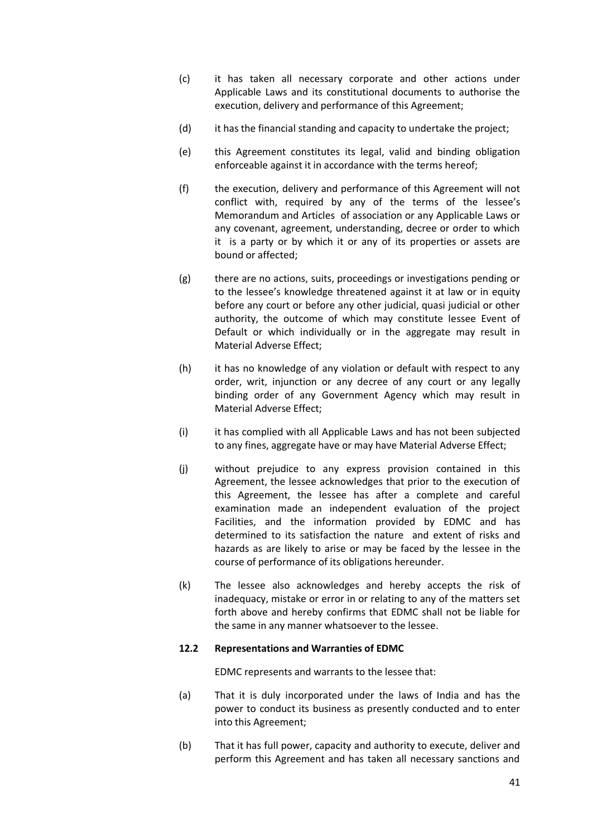- (c) it has taken all necessary corporate and other actions under Applicable Laws and its constitutional documents to authorise the execution, delivery and performance of this Agreement;
- (d) it has the financial standing and capacity to undertake the project;
- (e) this Agreement constitutes its legal, valid and binding obligation enforceable against it in accordance with the terms hereof;
- (f) the execution, delivery and performance of this Agreement will not conflict with, required by any of the terms of the lessee's Memorandum and Articles of association or any Applicable Laws or any covenant, agreement, understanding, decree or order to which it is a party or by which it or any of its properties or assets are bound or affected;
- (g) there are no actions, suits, proceedings or investigations pending or to the lessee's knowledge threatened against it at law or in equity before any court or before any other judicial, quasi judicial or other authority, the outcome of which may constitute lessee Event of Default or which individually or in the aggregate may result in Material Adverse Effect;
- (h) it has no knowledge of any violation or default with respect to any order, writ, injunction or any decree of any court or any legally binding order of any Government Agency which may result in Material Adverse Effect;
- (i) it has complied with all Applicable Laws and has not been subjected to any fines, aggregate have or may have Material Adverse Effect;
- (j) without prejudice to any express provision contained in this Agreement, the lessee acknowledges that prior to the execution of this Agreement, the lessee has after a complete and careful examination made an independent evaluation of the project Facilities, and the information provided by EDMC and has determined to its satisfaction the nature and extent of risks and hazards as are likely to arise or may be faced by the lessee in the course of performance of its obligations hereunder.
- (k) The lessee also acknowledges and hereby accepts the risk of inadequacy, mistake or error in or relating to any of the matters set forth above and hereby confirms that EDMC shall not be liable for the same in any manner whatsoever to the lessee.

## **12.2 Representations and Warranties of EDMC**

EDMC represents and warrants to the lessee that:

- (a) That it is duly incorporated under the laws of India and has the power to conduct its business as presently conducted and to enter into this Agreement;
- (b) That it has full power, capacity and authority to execute, deliver and perform this Agreement and has taken all necessary sanctions and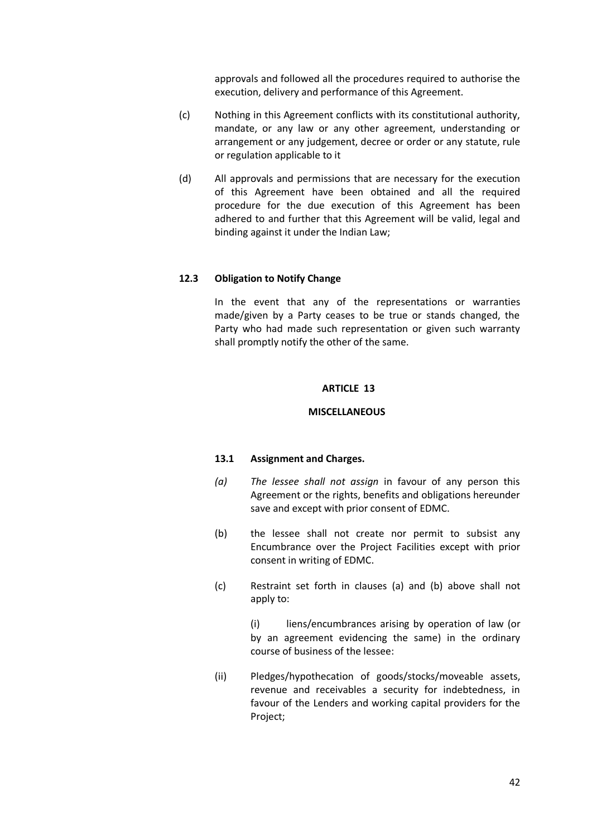approvals and followed all the procedures required to authorise the execution, delivery and performance of this Agreement.

- (c) Nothing in this Agreement conflicts with its constitutional authority, mandate, or any law or any other agreement, understanding or arrangement or any judgement, decree or order or any statute, rule or regulation applicable to it
- (d) All approvals and permissions that are necessary for the execution of this Agreement have been obtained and all the required procedure for the due execution of this Agreement has been adhered to and further that this Agreement will be valid, legal and binding against it under the Indian Law;

## **12.3 Obligation to Notify Change**

In the event that any of the representations or warranties made/given by a Party ceases to be true or stands changed, the Party who had made such representation or given such warranty shall promptly notify the other of the same.

#### **ARTICLE 13**

#### **MISCELLANEOUS**

#### **13.1 Assignment and Charges.**

- *(a) The lessee shall not assign* in favour of any person this Agreement or the rights, benefits and obligations hereunder save and except with prior consent of EDMC.
- (b) the lessee shall not create nor permit to subsist any Encumbrance over the Project Facilities except with prior consent in writing of EDMC.
- (c) Restraint set forth in clauses (a) and (b) above shall not apply to:

(i) liens/encumbrances arising by operation of law (or by an agreement evidencing the same) in the ordinary course of business of the lessee:

(ii) Pledges/hypothecation of goods/stocks/moveable assets, revenue and receivables a security for indebtedness, in favour of the Lenders and working capital providers for the Project;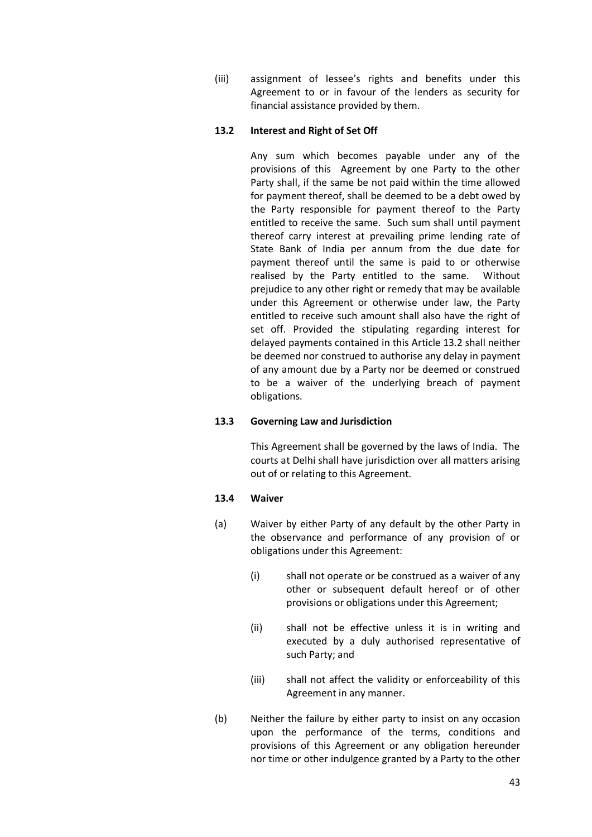(iii) assignment of lessee's rights and benefits under this Agreement to or in favour of the lenders as security for financial assistance provided by them.

## **13.2 Interest and Right of Set Off**

Any sum which becomes payable under any of the provisions of this Agreement by one Party to the other Party shall, if the same be not paid within the time allowed for payment thereof, shall be deemed to be a debt owed by the Party responsible for payment thereof to the Party entitled to receive the same. Such sum shall until payment thereof carry interest at prevailing prime lending rate of State Bank of India per annum from the due date for payment thereof until the same is paid to or otherwise realised by the Party entitled to the same. Without prejudice to any other right or remedy that may be available under this Agreement or otherwise under law, the Party entitled to receive such amount shall also have the right of set off. Provided the stipulating regarding interest for delayed payments contained in this Article 13.2 shall neither be deemed nor construed to authorise any delay in payment of any amount due by a Party nor be deemed or construed to be a waiver of the underlying breach of payment obligations.

## **13.3 Governing Law and Jurisdiction**

This Agreement shall be governed by the laws of India. The courts at Delhi shall have jurisdiction over all matters arising out of or relating to this Agreement.

## **13.4 Waiver**

- (a) Waiver by either Party of any default by the other Party in the observance and performance of any provision of or obligations under this Agreement:
	- (i) shall not operate or be construed as a waiver of any other or subsequent default hereof or of other provisions or obligations under this Agreement;
	- (ii) shall not be effective unless it is in writing and executed by a duly authorised representative of such Party; and
	- (iii) shall not affect the validity or enforceability of this Agreement in any manner.
- (b) Neither the failure by either party to insist on any occasion upon the performance of the terms, conditions and provisions of this Agreement or any obligation hereunder nor time or other indulgence granted by a Party to the other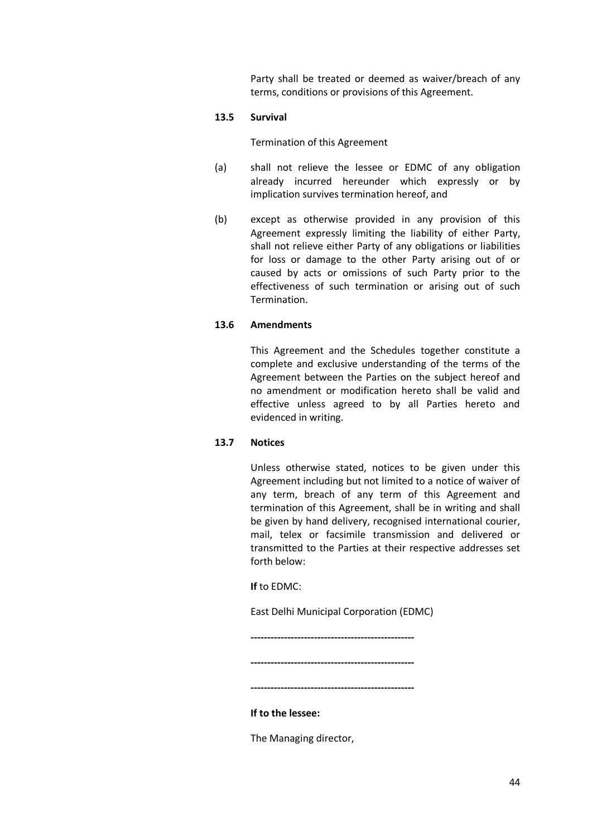Party shall be treated or deemed as waiver/breach of any terms, conditions or provisions of this Agreement.

## **13.5 Survival**

#### Termination of this Agreement

- (a) shall not relieve the lessee or EDMC of any obligation already incurred hereunder which expressly or by implication survives termination hereof, and
- (b) except as otherwise provided in any provision of this Agreement expressly limiting the liability of either Party, shall not relieve either Party of any obligations or liabilities for loss or damage to the other Party arising out of or caused by acts or omissions of such Party prior to the effectiveness of such termination or arising out of such Termination.

## **13.6 Amendments**

This Agreement and the Schedules together constitute a complete and exclusive understanding of the terms of the Agreement between the Parties on the subject hereof and no amendment or modification hereto shall be valid and effective unless agreed to by all Parties hereto and evidenced in writing.

## **13.7 Notices**

Unless otherwise stated, notices to be given under this Agreement including but not limited to a notice of waiver of any term, breach of any term of this Agreement and termination of this Agreement, shall be in writing and shall be given by hand delivery, recognised international courier, mail, telex or facsimile transmission and delivered or transmitted to the Parties at their respective addresses set forth below:

**If** to EDMC:

East Delhi Municipal Corporation (EDMC)

**-------------------------------------------------**

**-------------------------------------------------**

**-------------------------------------------------**

### **If to the lessee:**

The Managing director,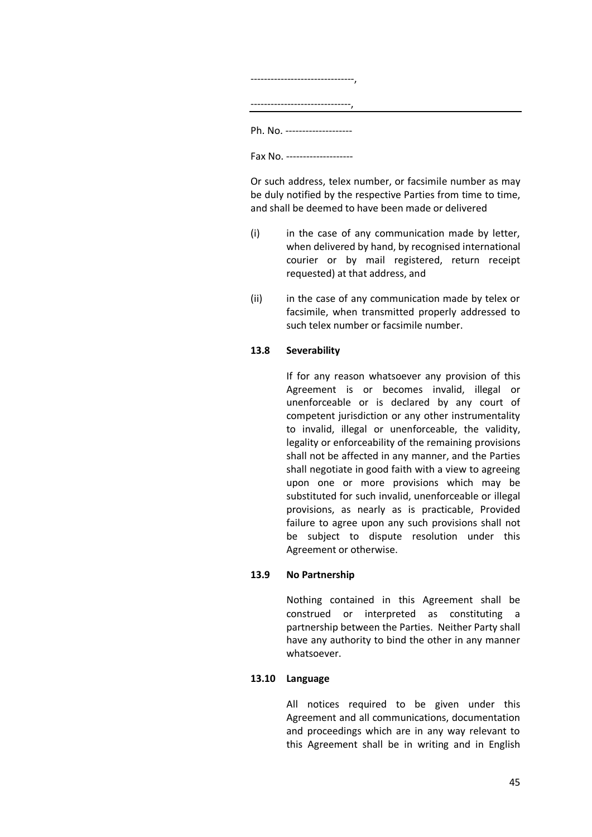| Ph. No. ------------------ |  |
|----------------------------|--|
| Fax No. ------------------ |  |

Or such address, telex number, or facsimile number as may be duly notified by the respective Parties from time to time, and shall be deemed to have been made or delivered

- (i) in the case of any communication made by letter, when delivered by hand, by recognised international courier or by mail registered, return receipt requested) at that address, and
- (ii) in the case of any communication made by telex or facsimile, when transmitted properly addressed to such telex number or facsimile number.

## **13.8 Severability**

If for any reason whatsoever any provision of this Agreement is or becomes invalid, illegal or unenforceable or is declared by any court of competent jurisdiction or any other instrumentality to invalid, illegal or unenforceable, the validity, legality or enforceability of the remaining provisions shall not be affected in any manner, and the Parties shall negotiate in good faith with a view to agreeing upon one or more provisions which may be substituted for such invalid, unenforceable or illegal provisions, as nearly as is practicable, Provided failure to agree upon any such provisions shall not be subject to dispute resolution under this Agreement or otherwise.

## **13.9 No Partnership**

Nothing contained in this Agreement shall be construed or interpreted as constituting a partnership between the Parties. Neither Party shall have any authority to bind the other in any manner whatsoever.

## **13.10 Language**

All notices required to be given under this Agreement and all communications, documentation and proceedings which are in any way relevant to this Agreement shall be in writing and in English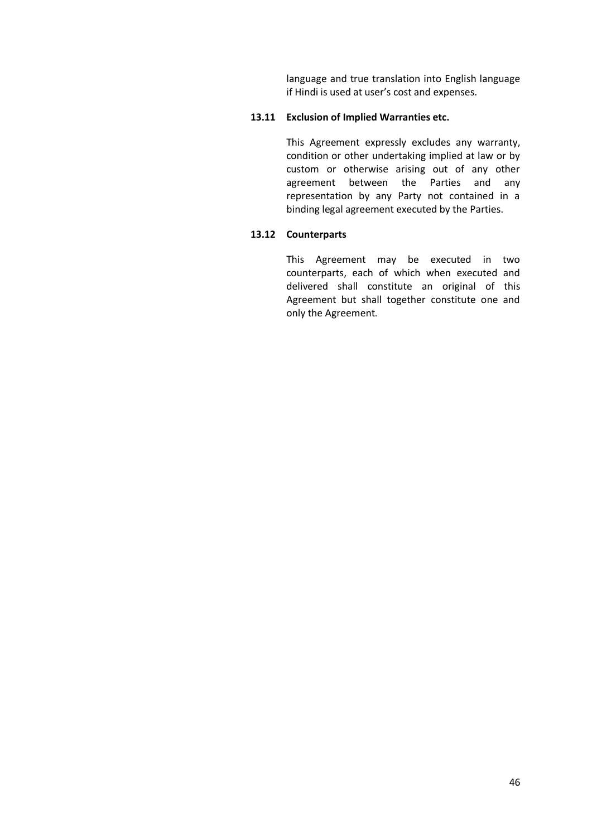language and true translation into English language if Hindi is used at user's cost and expenses.

## **13.11 Exclusion of Implied Warranties etc.**

This Agreement expressly excludes any warranty, condition or other undertaking implied at law or by custom or otherwise arising out of any other agreement between the Parties and any representation by any Party not contained in a binding legal agreement executed by the Parties.

## **13.12 Counterparts**

This Agreement may be executed in two counterparts, each of which when executed and delivered shall constitute an original of this Agreement but shall together constitute one and only the Agreement.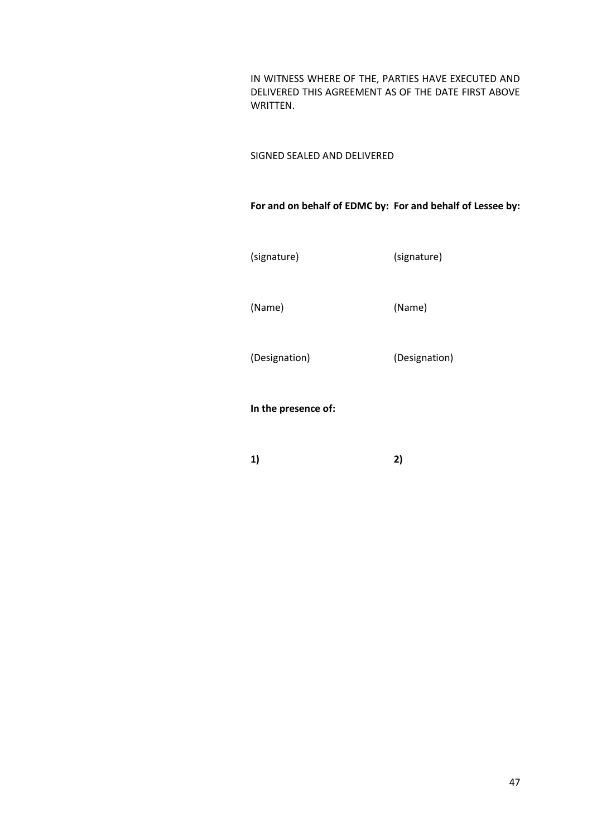IN WITNESS WHERE OF THE, PARTIES HAVE EXECUTED AND DELIVERED THIS AGREEMENT AS OF THE DATE FIRST ABOVE WRITTEN.

SIGNED SEALED AND DELIVERED

**For and on behalf of EDMC by: For and behalf of Lessee by:**

(signature) (signature)

(Name) (Name)

(Designation) (Designation)

**In the presence of:**

**1) 2)**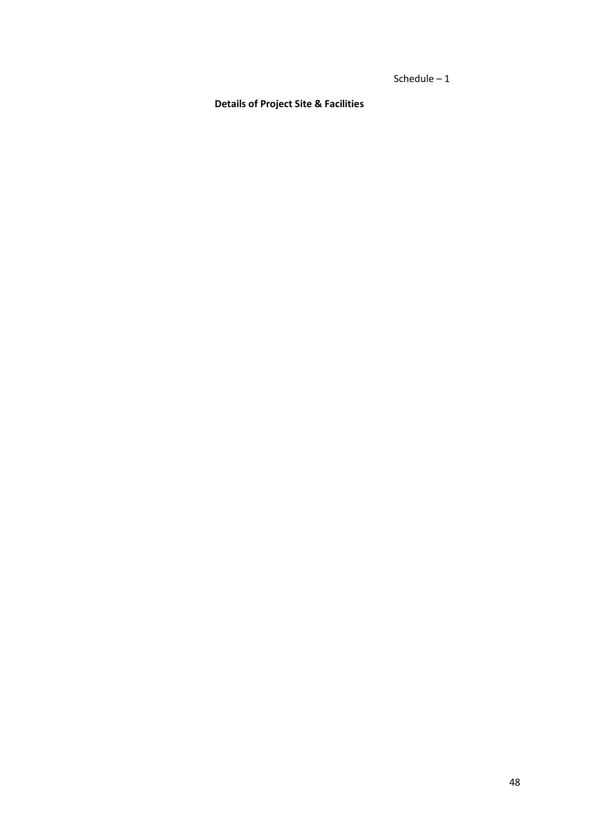Schedule – 1

**Details of Project Site & Facilities**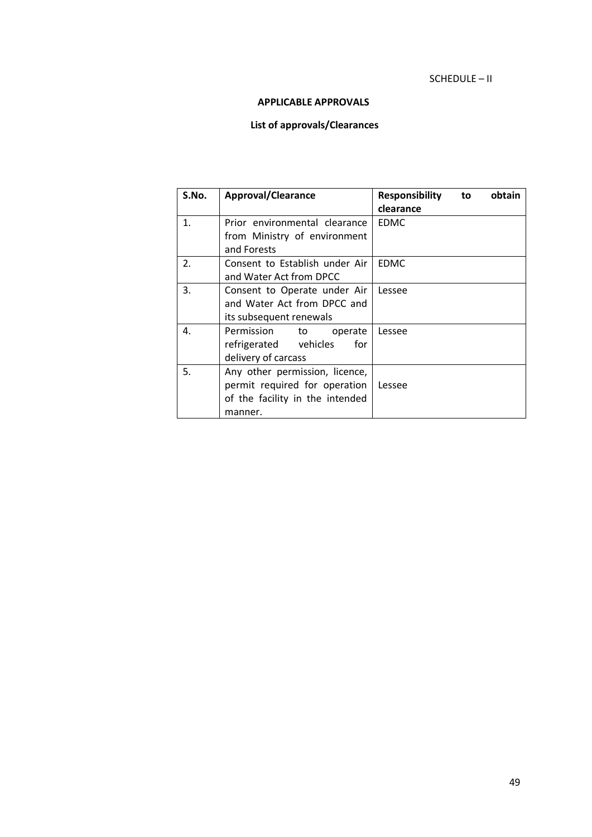## SCHEDULE – II

## **APPLICABLE APPROVALS**

# **List of approvals/Clearances**

| S.No.            | <b>Approval/Clearance</b>       | <b>Responsibility</b> | to | obtain |
|------------------|---------------------------------|-----------------------|----|--------|
|                  |                                 | clearance             |    |        |
| 1.               | Prior environmental clearance   | <b>EDMC</b>           |    |        |
|                  | from Ministry of environment    |                       |    |        |
|                  | and Forests                     |                       |    |        |
| $\overline{2}$ . | Consent to Establish under Air  | <b>EDMC</b>           |    |        |
|                  | and Water Act from DPCC         |                       |    |        |
| 3.               | Consent to Operate under Air    | Lessee                |    |        |
|                  | and Water Act from DPCC and     |                       |    |        |
|                  | its subsequent renewals         |                       |    |        |
| 4.               | Permission<br>to<br>operate     | Lessee                |    |        |
|                  | refrigerated vehicles<br>for    |                       |    |        |
|                  | delivery of carcass             |                       |    |        |
| 5.               | Any other permission, licence,  |                       |    |        |
|                  | permit required for operation   | Lessee                |    |        |
|                  | of the facility in the intended |                       |    |        |
|                  | manner.                         |                       |    |        |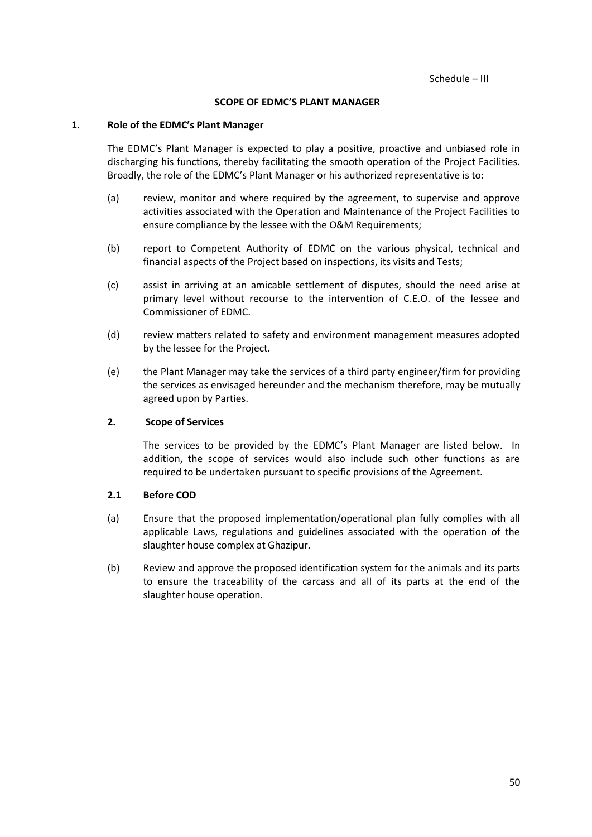#### **SCOPE OF EDMC'S PLANT MANAGER**

#### **1. Role of the EDMC's Plant Manager**

The EDMC's Plant Manager is expected to play a positive, proactive and unbiased role in discharging his functions, thereby facilitating the smooth operation of the Project Facilities. Broadly, the role of the EDMC's Plant Manager or his authorized representative is to:

- (a) review, monitor and where required by the agreement, to supervise and approve activities associated with the Operation and Maintenance of the Project Facilities to ensure compliance by the lessee with the O&M Requirements;
- (b) report to Competent Authority of EDMC on the various physical, technical and financial aspects of the Project based on inspections, its visits and Tests;
- (c) assist in arriving at an amicable settlement of disputes, should the need arise at primary level without recourse to the intervention of C.E.O. of the lessee and Commissioner of EDMC.
- (d) review matters related to safety and environment management measures adopted by the lessee for the Project.
- (e) the Plant Manager may take the services of a third party engineer/firm for providing the services as envisaged hereunder and the mechanism therefore, may be mutually agreed upon by Parties.

### **2. Scope of Services**

The services to be provided by the EDMC's Plant Manager are listed below. In addition, the scope of services would also include such other functions as are required to be undertaken pursuant to specific provisions of the Agreement.

## **2.1 Before COD**

- (a) Ensure that the proposed implementation/operational plan fully complies with all applicable Laws, regulations and guidelines associated with the operation of the slaughter house complex at Ghazipur.
- (b) Review and approve the proposed identification system for the animals and its parts to ensure the traceability of the carcass and all of its parts at the end of the slaughter house operation.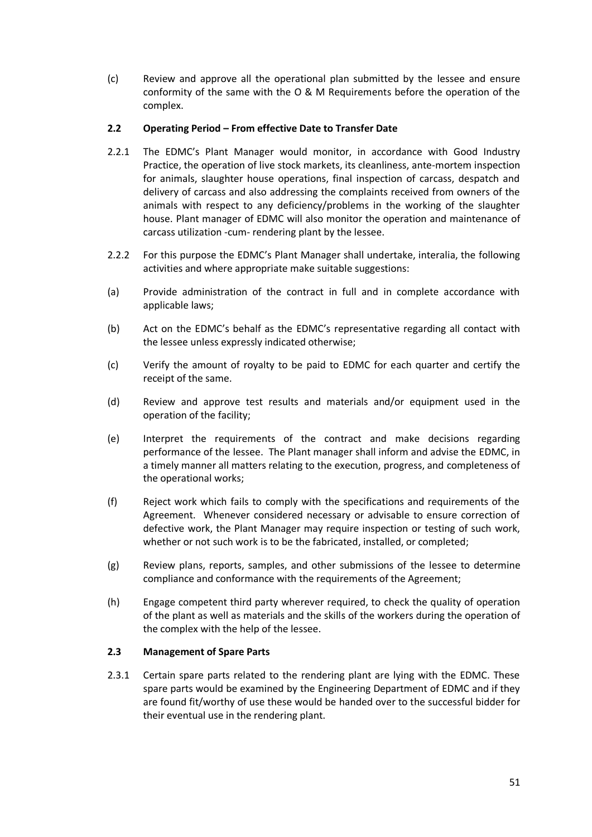(c) Review and approve all the operational plan submitted by the lessee and ensure conformity of the same with the O & M Requirements before the operation of the complex.

## **2.2 Operating Period – From effective Date to Transfer Date**

- 2.2.1 The EDMC's Plant Manager would monitor, in accordance with Good Industry Practice, the operation of live stock markets, its cleanliness, ante-mortem inspection for animals, slaughter house operations, final inspection of carcass, despatch and delivery of carcass and also addressing the complaints received from owners of the animals with respect to any deficiency/problems in the working of the slaughter house. Plant manager of EDMC will also monitor the operation and maintenance of carcass utilization -cum- rendering plant by the lessee.
- 2.2.2 For this purpose the EDMC's Plant Manager shall undertake, interalia, the following activities and where appropriate make suitable suggestions:
- (a) Provide administration of the contract in full and in complete accordance with applicable laws;
- (b) Act on the EDMC's behalf as the EDMC's representative regarding all contact with the lessee unless expressly indicated otherwise;
- (c) Verify the amount of royalty to be paid to EDMC for each quarter and certify the receipt of the same.
- (d) Review and approve test results and materials and/or equipment used in the operation of the facility;
- (e) Interpret the requirements of the contract and make decisions regarding performance of the lessee. The Plant manager shall inform and advise the EDMC, in a timely manner all matters relating to the execution, progress, and completeness of the operational works;
- (f) Reject work which fails to comply with the specifications and requirements of the Agreement. Whenever considered necessary or advisable to ensure correction of defective work, the Plant Manager may require inspection or testing of such work, whether or not such work is to be the fabricated, installed, or completed;
- (g) Review plans, reports, samples, and other submissions of the lessee to determine compliance and conformance with the requirements of the Agreement;
- (h) Engage competent third party wherever required, to check the quality of operation of the plant as well as materials and the skills of the workers during the operation of the complex with the help of the lessee.

## **2.3 Management of Spare Parts**

2.3.1 Certain spare parts related to the rendering plant are lying with the EDMC. These spare parts would be examined by the Engineering Department of EDMC and if they are found fit/worthy of use these would be handed over to the successful bidder for their eventual use in the rendering plant.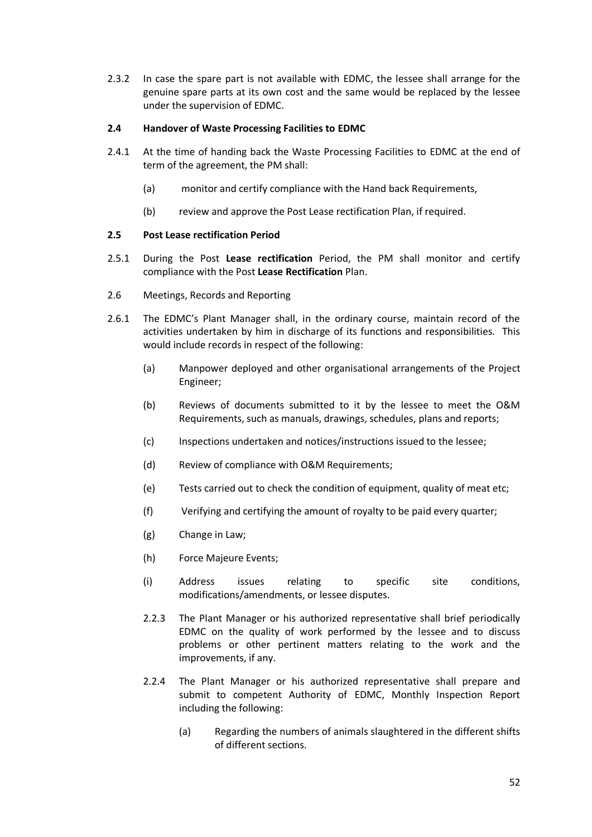2.3.2 In case the spare part is not available with EDMC, the lessee shall arrange for the genuine spare parts at its own cost and the same would be replaced by the lessee under the supervision of EDMC.

## **2.4 Handover of Waste Processing Facilities to EDMC**

- 2.4.1 At the time of handing back the Waste Processing Facilities to EDMC at the end of term of the agreement, the PM shall:
	- (a) monitor and certify compliance with the Hand back Requirements,
	- (b) review and approve the Post Lease rectification Plan, if required.

## **2.5 Post Lease rectification Period**

- 2.5.1 During the Post **Lease rectification** Period, the PM shall monitor and certify compliance with the Post **Lease Rectification** Plan.
- 2.6 Meetings, Records and Reporting
- 2.6.1 The EDMC's Plant Manager shall, in the ordinary course, maintain record of the activities undertaken by him in discharge of its functions and responsibilities. This would include records in respect of the following:
	- (a) Manpower deployed and other organisational arrangements of the Project Engineer;
	- (b) Reviews of documents submitted to it by the lessee to meet the O&M Requirements, such as manuals, drawings, schedules, plans and reports;
	- (c) Inspections undertaken and notices/instructions issued to the lessee;
	- (d) Review of compliance with O&M Requirements;
	- (e) Tests carried out to check the condition of equipment, quality of meat etc;
	- (f) Verifying and certifying the amount of royalty to be paid every quarter;
	- (g) Change in Law;
	- (h) Force Majeure Events;
	- (i) Address issues relating to specific site conditions, modifications/amendments, or lessee disputes.
	- 2.2.3 The Plant Manager or his authorized representative shall brief periodically EDMC on the quality of work performed by the lessee and to discuss problems or other pertinent matters relating to the work and the improvements, if any.
	- 2.2.4 The Plant Manager or his authorized representative shall prepare and submit to competent Authority of EDMC, Monthly Inspection Report including the following:
		- (a) Regarding the numbers of animals slaughtered in the different shifts of different sections.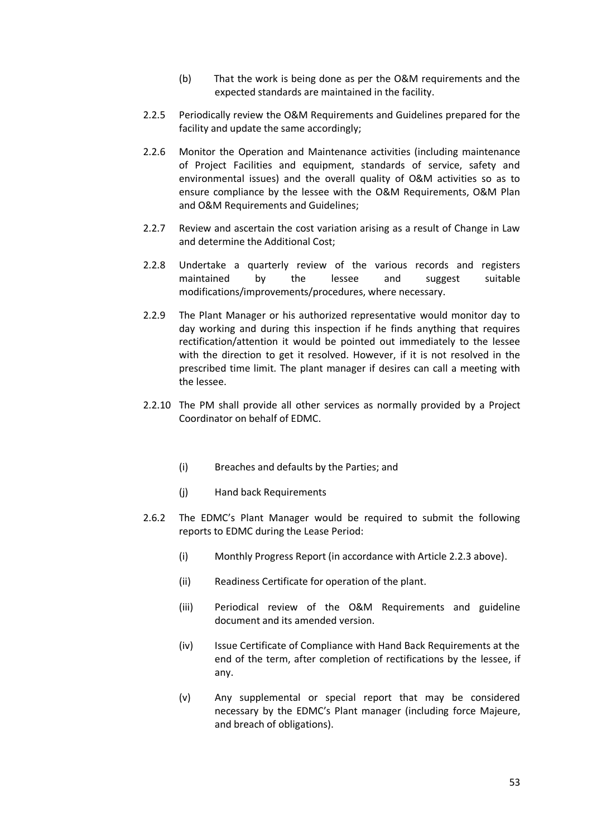- (b) That the work is being done as per the O&M requirements and the expected standards are maintained in the facility.
- 2.2.5 Periodically review the O&M Requirements and Guidelines prepared for the facility and update the same accordingly;
- 2.2.6 Monitor the Operation and Maintenance activities (including maintenance of Project Facilities and equipment, standards of service, safety and environmental issues) and the overall quality of O&M activities so as to ensure compliance by the lessee with the O&M Requirements, O&M Plan and O&M Requirements and Guidelines;
- 2.2.7 Review and ascertain the cost variation arising as a result of Change in Law and determine the Additional Cost;
- 2.2.8 Undertake a quarterly review of the various records and registers maintained by the lessee and suggest suitable modifications/improvements/procedures, where necessary.
- 2.2.9 The Plant Manager or his authorized representative would monitor day to day working and during this inspection if he finds anything that requires rectification/attention it would be pointed out immediately to the lessee with the direction to get it resolved. However, if it is not resolved in the prescribed time limit. The plant manager if desires can call a meeting with the lessee.
- 2.2.10 The PM shall provide all other services as normally provided by a Project Coordinator on behalf of EDMC.
	- (i) Breaches and defaults by the Parties; and
	- (j) Hand back Requirements
- 2.6.2 The EDMC's Plant Manager would be required to submit the following reports to EDMC during the Lease Period:
	- (i) Monthly Progress Report (in accordance with Article 2.2.3 above).
	- (ii) Readiness Certificate for operation of the plant.
	- (iii) Periodical review of the O&M Requirements and guideline document and its amended version.
	- (iv) Issue Certificate of Compliance with Hand Back Requirements at the end of the term, after completion of rectifications by the lessee, if any.
	- (v) Any supplemental or special report that may be considered necessary by the EDMC's Plant manager (including force Majeure, and breach of obligations).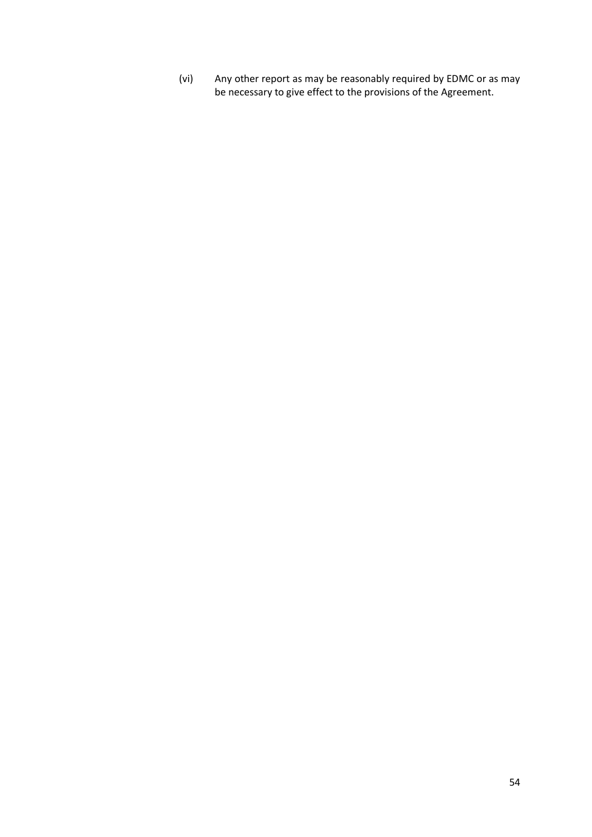(vi) Any other report as may be reasonably required by EDMC or as may be necessary to give effect to the provisions of the Agreement.